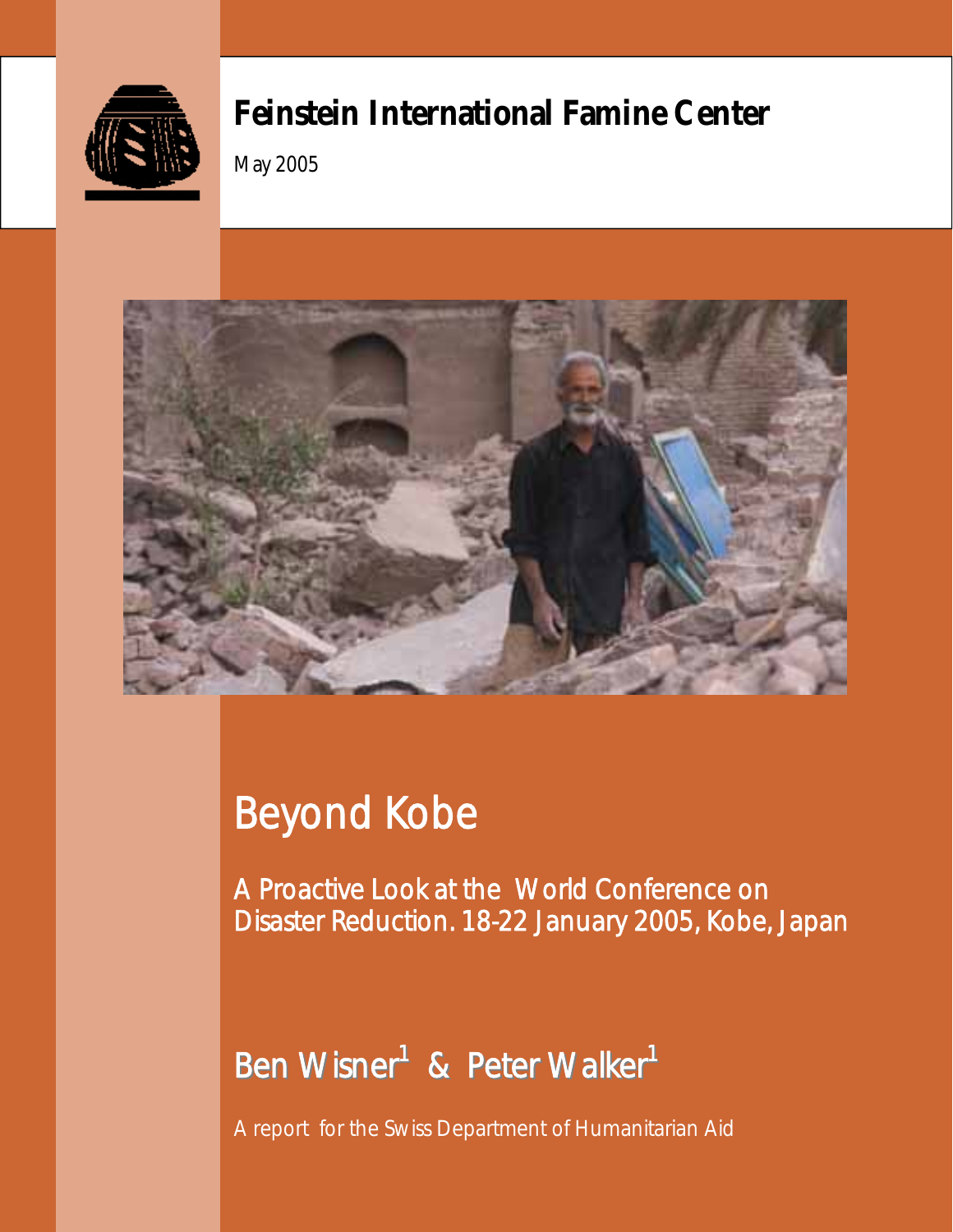

## **Feinstein International Famine Center**

May 2005



# Beyond Kobe

A Proactive Look at the World Conference on Disaster Reduction. 18-22 January 2005, Kobe, Japan

Ben Wisner<sup>1</sup> & Peter Walker<sup>1</sup>

A report for the Swiss Department of Humanitarian Aid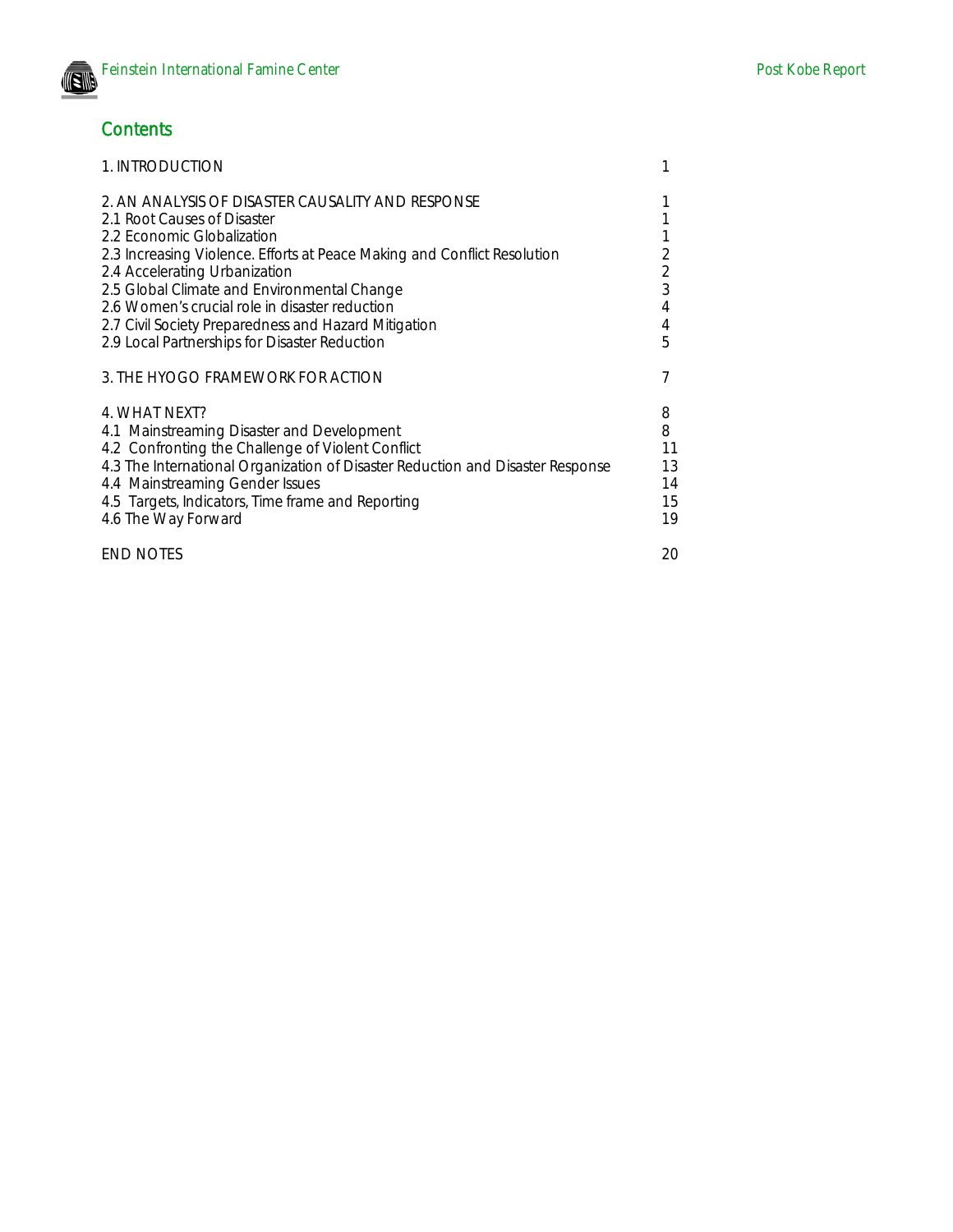### **Contents**

Œ

| 1. INTRODUCTION                                                                                                                                                                                                                                                                                                                                                                                                                       |                                                                   |
|---------------------------------------------------------------------------------------------------------------------------------------------------------------------------------------------------------------------------------------------------------------------------------------------------------------------------------------------------------------------------------------------------------------------------------------|-------------------------------------------------------------------|
| 2. AN ANALYSIS OF DISASTER CAUSALITY AND RESPONSE<br>2.1 Root Causes of Disaster<br>2.2 Economic Globalization<br>2.3 Increasing Violence. Efforts at Peace Making and Conflict Resolution<br>2.4 Accelerating Urbanization<br>2.5 Global Climate and Environmental Change<br>2.6 Women's crucial role in disaster reduction<br>2.7 Civil Society Preparedness and Hazard Mitigation<br>2.9 Local Partnerships for Disaster Reduction | 2<br>$\overline{2}$<br>3<br>$\overline{4}$<br>$\overline{4}$<br>5 |
| 3. THE HYOGO FRAMEWORK FOR ACTION                                                                                                                                                                                                                                                                                                                                                                                                     |                                                                   |
| 4. WHAT NEXT?<br>4.1 Mainstreaming Disaster and Development<br>4.2 Confronting the Challenge of Violent Conflict<br>4.3 The International Organization of Disaster Reduction and Disaster Response<br>4.4 Mainstreaming Gender Issues<br>4.5 Targets, Indicators, Time frame and Reporting<br>4.6 The Way Forward                                                                                                                     | 8<br>8<br>11<br>13<br>14<br>15<br>19                              |
| <b>END NOTES</b>                                                                                                                                                                                                                                                                                                                                                                                                                      | 20                                                                |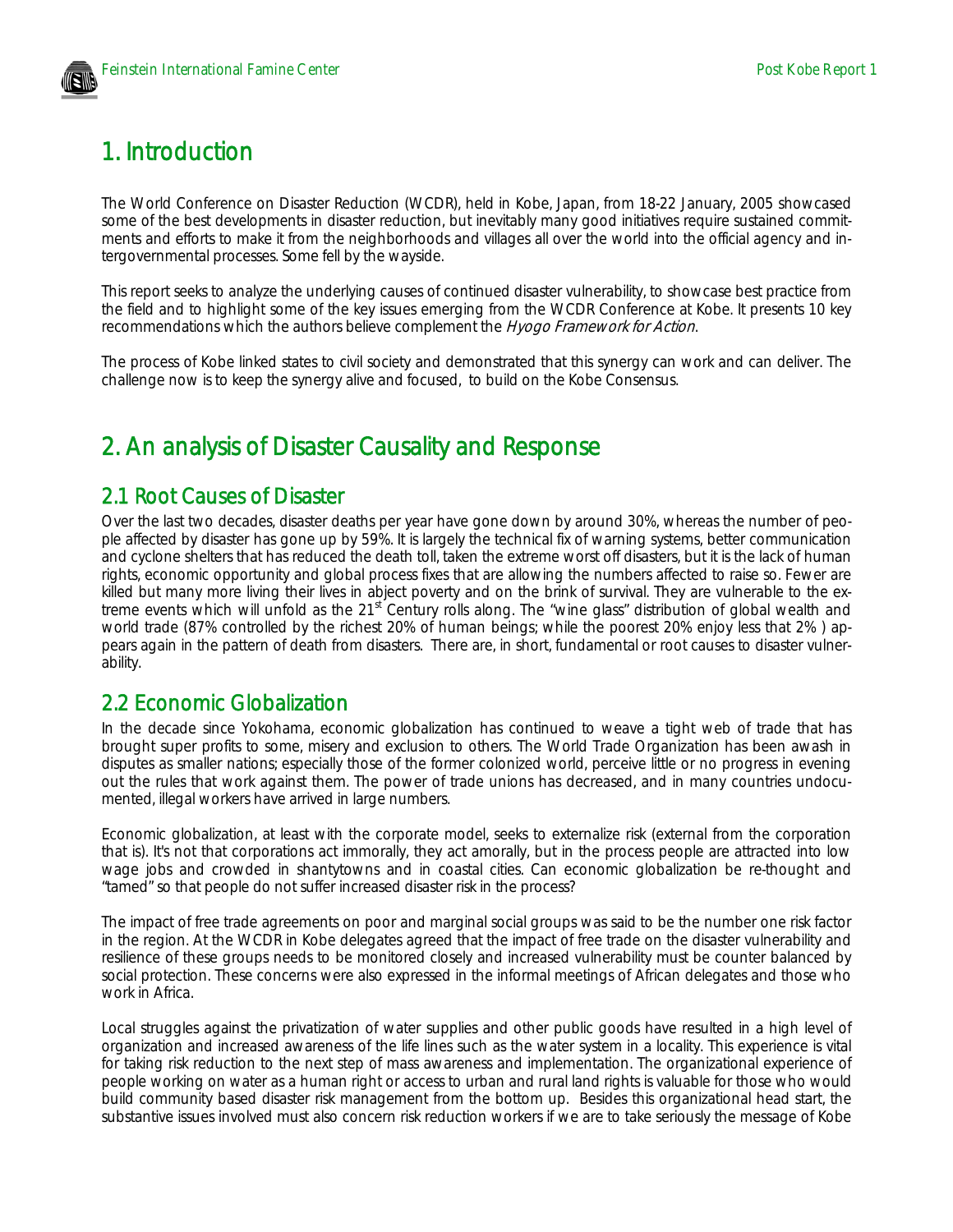## 1. Introduction

The World Conference on Disaster Reduction (WCDR), held in Kobe, Japan, from 18-22 January, 2005 showcased some of the best developments in disaster reduction, but inevitably many good initiatives require sustained commitments and efforts to make it from the neighborhoods and villages all over the world into the official agency and intergovernmental processes. Some fell by the wayside.

This report seeks to analyze the underlying causes of continued disaster vulnerability, to showcase best practice from the field and to highlight some of the key issues emerging from the WCDR Conference at Kobe. It presents 10 key recommendations which the authors believe complement the Hyogo Framework for Action.

The process of Kobe linked states to civil society and demonstrated that this synergy can work and can deliver. The challenge now is to keep the synergy alive and focused, to build on the Kobe Consensus.

### 2. An analysis of Disaster Causality and Response

### 2.1 Root Causes of Disaster

Over the last two decades, disaster deaths per year have gone down by around 30%, whereas the number of people affected by disaster has gone up by 59%. It is largely the technical fix of warning systems, better communication and cyclone shelters that has reduced the death toll, taken the extreme worst off disasters, but it is the lack of human rights, economic opportunity and global process fixes that are allowing the numbers affected to raise so. Fewer are killed but many more living their lives in abject poverty and on the brink of survival. They are vulnerable to the extreme events which will unfold as the 21<sup>st</sup> Century rolls along. The "wine glass" distribution of global wealth and world trade (87% controlled by the richest 20% of human beings; while the poorest 20% enjoy less that 2% ) appears again in the pattern of death from disasters. There are, in short, fundamental or root causes to disaster vulnerability.

### 2.2 Economic Globalization

In the decade since Yokohama, economic globalization has continued to weave a tight web of trade that has brought super profits to some, misery and exclusion to others. The World Trade Organization has been awash in disputes as smaller nations; especially those of the former colonized world, perceive little or no progress in evening out the rules that work against them. The power of trade unions has decreased, and in many countries undocumented, illegal workers have arrived in large numbers.

Economic globalization, at least with the corporate model, seeks to externalize risk (external from the corporation that is). It's not that corporations act immorally, they act amorally, but in the process people are attracted into low wage jobs and crowded in shantytowns and in coastal cities. Can economic globalization be re-thought and "tamed" so that people do not suffer increased disaster risk in the process?

The impact of free trade agreements on poor and marginal social groups was said to be the number one risk factor in the region. At the WCDR in Kobe delegates agreed that the impact of free trade on the disaster vulnerability and resilience of these groups needs to be monitored closely and increased vulnerability must be counter balanced by social protection. These concerns were also expressed in the informal meetings of African delegates and those who work in Africa.

Local struggles against the privatization of water supplies and other public goods have resulted in a high level of organization and increased awareness of the life lines such as the water system in a locality. This experience is vital for taking risk reduction to the next step of mass awareness and implementation. The organizational experience of people working on water as a human right or access to urban and rural land rights is valuable for those who would build community based disaster risk management from the bottom up. Besides this organizational head start, the substantive issues involved must also concern risk reduction workers if we are to take seriously the message of Kobe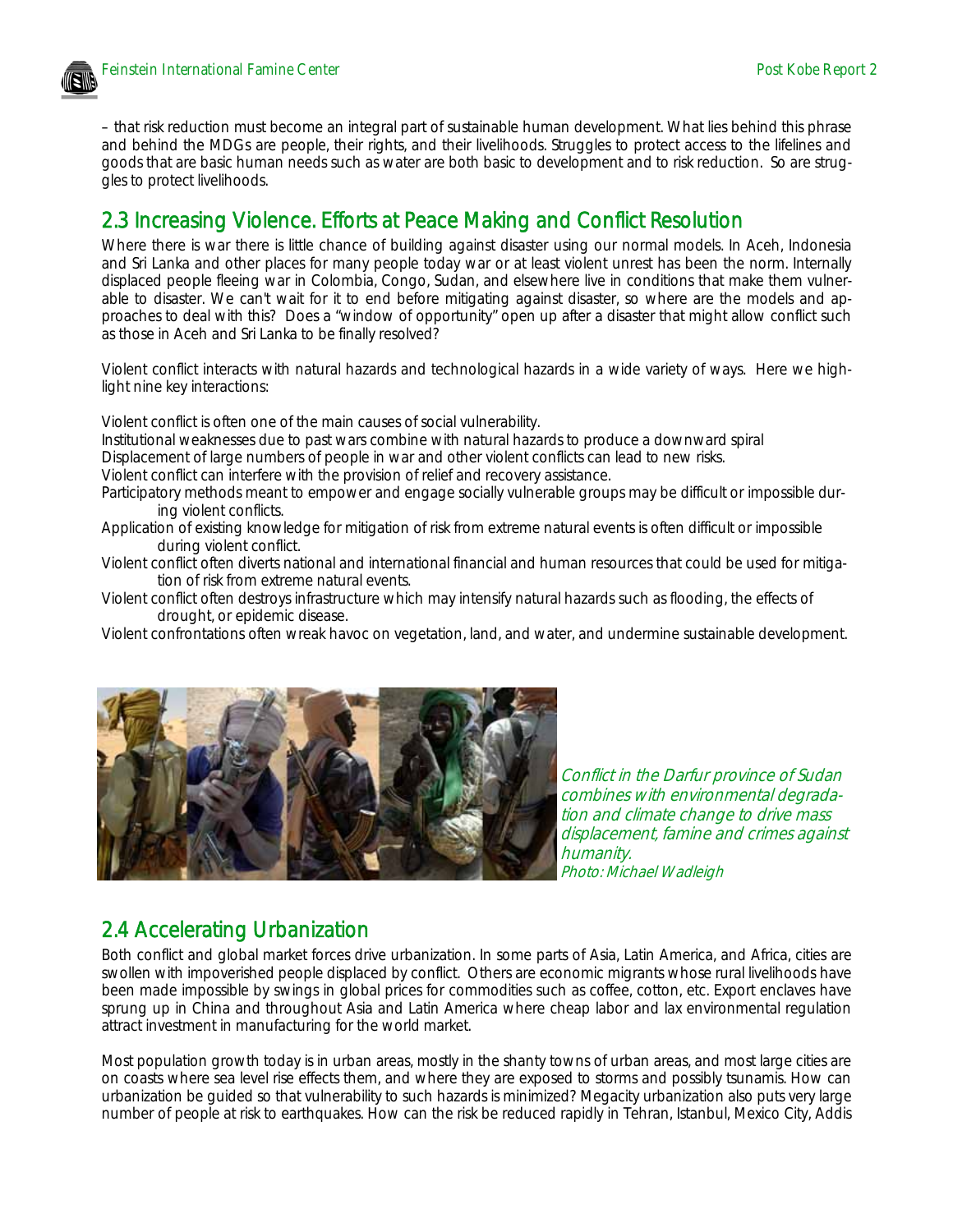

– that risk reduction must become an integral part of sustainable human development. What lies behind this phrase and behind the MDGs are people, their rights, and their livelihoods. Struggles to protect access to the lifelines and goods that are basic human needs such as water are both basic to development and to risk reduction. So are struggles to protect livelihoods.

### 2.3 Increasing Violence. Efforts at Peace Making and Conflict Resolution

Where there is war there is little chance of building against disaster using our normal models. In Aceh, Indonesia and Sri Lanka and other places for many people today war or at least violent unrest has been the norm. Internally displaced people fleeing war in Colombia, Congo, Sudan, and elsewhere live in conditions that make them vulnerable to disaster. We can't wait for it to end before mitigating against disaster, so where are the models and approaches to deal with this? Does a "window of opportunity" open up after a disaster that might allow conflict such as those in Aceh and Sri Lanka to be finally resolved?

Violent conflict interacts with natural hazards and technological hazards in a wide variety of ways. Here we highlight nine key interactions:

Violent conflict is often one of the main causes of social vulnerability.

Institutional weaknesses due to past wars combine with natural hazards to produce a downward spiral Displacement of large numbers of people in war and other violent conflicts can lead to new risks.

Violent conflict can interfere with the provision of relief and recovery assistance.

- Participatory methods meant to empower and engage socially vulnerable groups may be difficult or impossible during violent conflicts.
- Application of existing knowledge for mitigation of risk from extreme natural events is often difficult or impossible during violent conflict.
- Violent conflict often diverts national and international financial and human resources that could be used for mitigation of risk from extreme natural events.
- Violent conflict often destroys infrastructure which may intensify natural hazards such as flooding, the effects of drought, or epidemic disease.

Violent confrontations often wreak havoc on vegetation, land, and water, and undermine sustainable development.



Conflict in the Darfur province of Sudan combines with environmental degradation and climate change to drive mass displacement, famine and crimes against humanity. Photo: Michael Wadleigh

### 2.4 Accelerating Urbanization

Both conflict and global market forces drive urbanization. In some parts of Asia, Latin America, and Africa, cities are swollen with impoverished people displaced by conflict. Others are economic migrants whose rural livelihoods have been made impossible by swings in global prices for commodities such as coffee, cotton, etc. Export enclaves have sprung up in China and throughout Asia and Latin America where cheap labor and lax environmental regulation attract investment in manufacturing for the world market.

Most population growth today is in urban areas, mostly in the shanty towns of urban areas, and most large cities are on coasts where sea level rise effects them, and where they are exposed to storms and possibly tsunamis. How can urbanization be guided so that vulnerability to such hazards is minimized? Megacity urbanization also puts very large number of people at risk to earthquakes. How can the risk be reduced rapidly in Tehran, Istanbul, Mexico City, Addis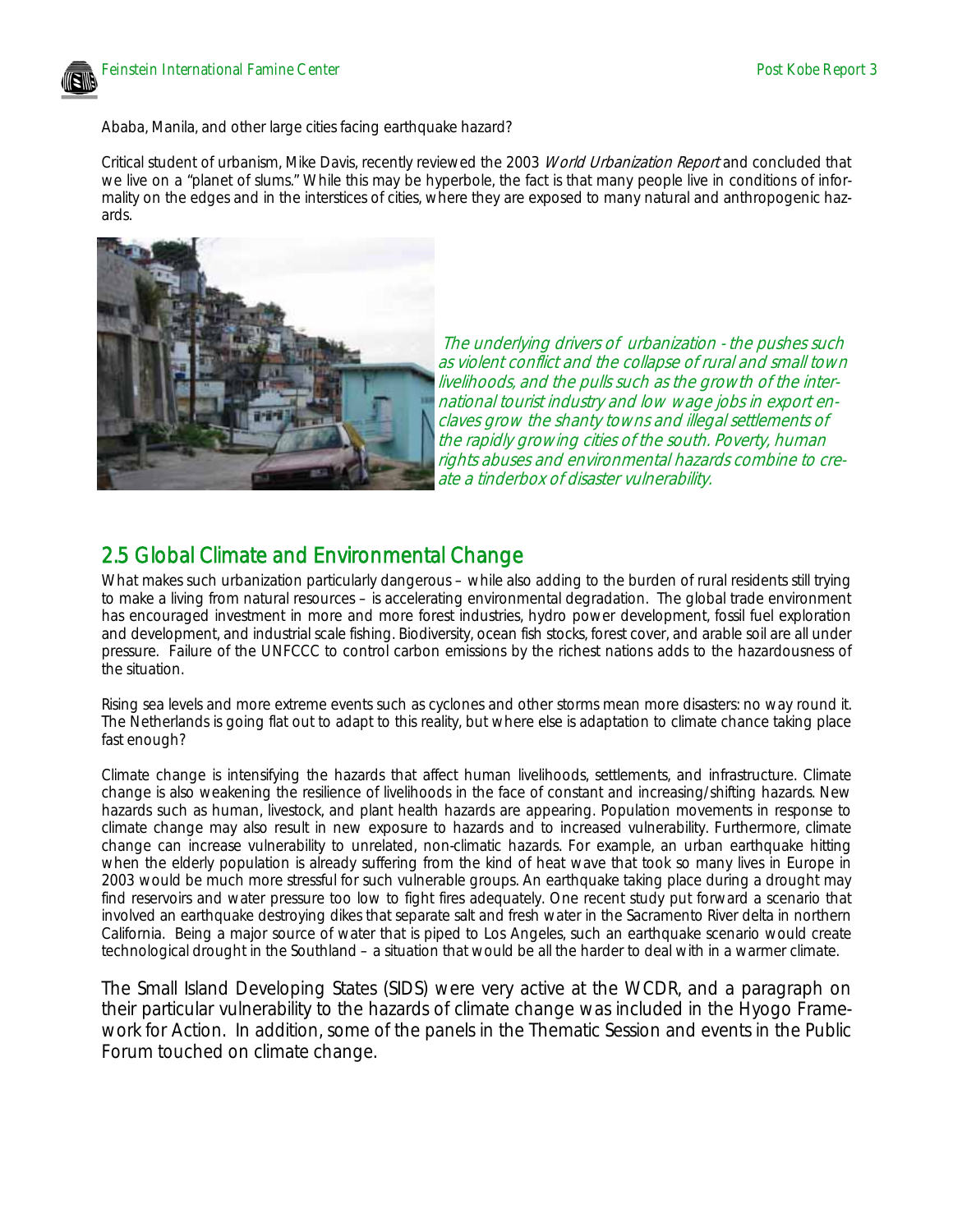

Ababa, Manila, and other large cities facing earthquake hazard?

Critical student of urbanism, Mike Davis, recently reviewed the 2003 World Urbanization Report and concluded that we live on a "planet of slums." While this may be hyperbole, the fact is that many people live in conditions of informality on the edges and in the interstices of cities, where they are exposed to many natural and anthropogenic hazards.



The underlying drivers of urbanization - the pushes such as violent conflict and the collapse of rural and small town livelihoods, and the pulls such as the growth of the international tourist industry and low wage jobs in export enclaves grow the shanty towns and illegal settlements of the rapidly growing cities of the south. Poverty, human rights abuses and environmental hazards combine to create a tinderbox of disaster vulnerability.

### 2.5 Global Climate and Environmental Change

What makes such urbanization particularly dangerous – while also adding to the burden of rural residents still trying to make a living from natural resources – is accelerating environmental degradation. The global trade environment has encouraged investment in more and more forest industries, hydro power development, fossil fuel exploration and development, and industrial scale fishing. Biodiversity, ocean fish stocks, forest cover, and arable soil are all under pressure. Failure of the UNFCCC to control carbon emissions by the richest nations adds to the hazardousness of the situation.

Rising sea levels and more extreme events such as cyclones and other storms mean more disasters: no way round it. The Netherlands is going flat out to adapt to this reality, but where else is adaptation to climate chance taking place fast enough?

Climate change is intensifying the hazards that affect human livelihoods, settlements, and infrastructure. Climate change is also weakening the resilience of livelihoods in the face of constant and increasing/shifting hazards. New hazards such as human, livestock, and plant health hazards are appearing. Population movements in response to climate change may also result in new exposure to hazards and to increased vulnerability. Furthermore, climate change can increase vulnerability to unrelated, non-climatic hazards. For example, an urban earthquake hitting when the elderly population is already suffering from the kind of heat wave that took so many lives in Europe in 2003 would be much more stressful for such vulnerable groups. An earthquake taking place during a drought may find reservoirs and water pressure too low to fight fires adequately. One recent study put forward a scenario that involved an earthquake destroying dikes that separate salt and fresh water in the Sacramento River delta in northern California. Being a major source of water that is piped to Los Angeles, such an earthquake scenario would create technological drought in the Southland – a situation that would be all the harder to deal with in a warmer climate.

The Small Island Developing States (SIDS) were very active at the WCDR, and a paragraph on their particular vulnerability to the hazards of climate change was included in the Hyogo Framework for Action. In addition, some of the panels in the Thematic Session and events in the Public Forum touched on climate change.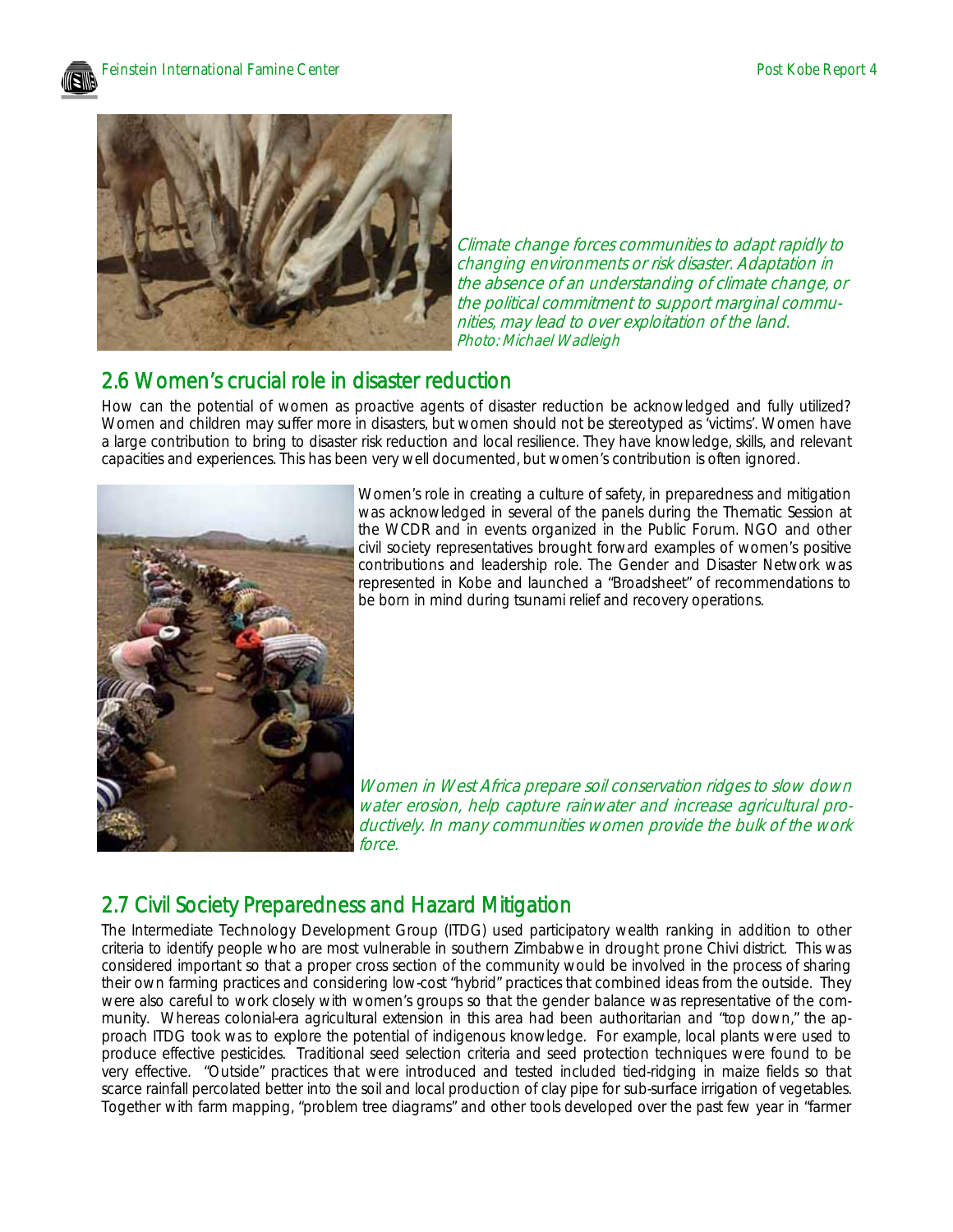



Climate change forces communities to adapt rapidly to changing environments or risk disaster. Adaptation in the absence of an understanding of climate change, or the political commitment to support marginal communities, may lead to over exploitation of the land. Photo: Michael Wadleigh

### 2.6 Women's crucial role in disaster reduction

How can the potential of women as proactive agents of disaster reduction be acknowledged and fully utilized? Women and children may suffer more in disasters, but women should not be stereotyped as 'victims'. Women have a large contribution to bring to disaster risk reduction and local resilience. They have knowledge, skills, and relevant capacities and experiences. This has been very well documented, but women's contribution is often ignored.



Women's role in creating a culture of safety, in preparedness and mitigation was acknowledged in several of the panels during the Thematic Session at the WCDR and in events organized in the Public Forum. NGO and other civil society representatives brought forward examples of women's positive contributions and leadership role. The Gender and Disaster Network was represented in Kobe and launched a "Broadsheet" of recommendations to be born in mind during tsunami relief and recovery operations.

Women in West Africa prepare soil conservation ridges to slow down water erosion, help capture rainwater and increase agricultural productively. In many communities women provide the bulk of the work force.

### 2.7 Civil Society Preparedness and Hazard Mitigation

The Intermediate Technology Development Group (ITDG) used participatory wealth ranking in addition to other criteria to identify people who are most vulnerable in southern Zimbabwe in drought prone Chivi district. This was considered important so that a proper cross section of the community would be involved in the process of sharing their own farming practices and considering low-cost "hybrid" practices that combined ideas from the outside. They were also careful to work closely with women's groups so that the gender balance was representative of the community. Whereas colonial-era agricultural extension in this area had been authoritarian and "top down," the approach ITDG took was to explore the potential of indigenous knowledge. For example, local plants were used to produce effective pesticides. Traditional seed selection criteria and seed protection techniques were found to be very effective. "Outside" practices that were introduced and tested included tied-ridging in maize fields so that scarce rainfall percolated better into the soil and local production of clay pipe for sub-surface irrigation of vegetables. Together with farm mapping, "problem tree diagrams" and other tools developed over the past few year in "farmer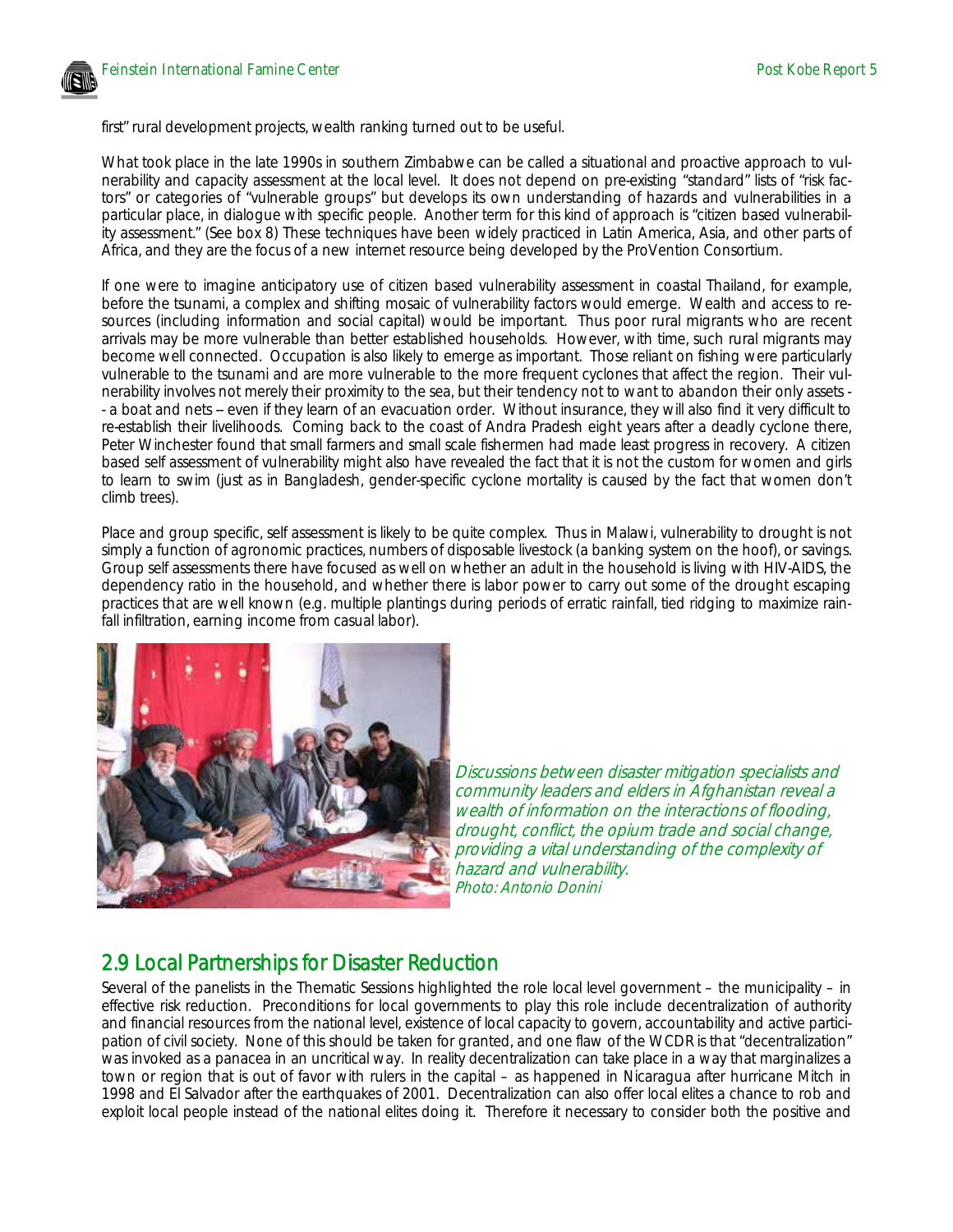

first" rural development projects, wealth ranking turned out to be useful.

What took place in the late 1990s in southern Zimbabwe can be called a situational and proactive approach to vulnerability and capacity assessment at the local level. It does not depend on pre-existing "standard" lists of "risk factors" or categories of "vulnerable groups" but develops its own understanding of hazards and vulnerabilities in a particular place, in dialogue with specific people. Another term for this kind of approach is "citizen based vulnerability assessment." (See box 8) These techniques have been widely practiced in Latin America, Asia, and other parts of Africa, and they are the focus of a new internet resource being developed by the ProVention Consortium.

If one were to imagine anticipatory use of citizen based vulnerability assessment in coastal Thailand, for example, before the tsunami, a complex and shifting mosaic of vulnerability factors would emerge. Wealth and access to resources (including information and social capital) would be important. Thus poor rural migrants who are recent arrivals may be more vulnerable than better established households. However, with time, such rural migrants may become well connected. Occupation is also likely to emerge as important. Those reliant on fishing were particularly vulnerable to the tsunami and are more vulnerable to the more frequent cyclones that affect the region. Their vulnerability involves not merely their proximity to the sea, but their tendency not to want to abandon their only assets - - a boat and nets -- even if they learn of an evacuation order. Without insurance, they will also find it very difficult to re-establish their livelihoods. Coming back to the coast of Andra Pradesh eight years after a deadly cyclone there, Peter Winchester found that small farmers and small scale fishermen had made least progress in recovery. A citizen based self assessment of vulnerability might also have revealed the fact that it is not the custom for women and girls to learn to swim (just as in Bangladesh, gender-specific cyclone mortality is caused by the fact that women don't climb trees).

Place and group specific, self assessment is likely to be quite complex. Thus in Malawi, vulnerability to drought is not simply a function of agronomic practices, numbers of disposable livestock (a banking system on the hoof), or savings. Group self assessments there have focused as well on whether an adult in the household is living with HIV-AIDS, the dependency ratio in the household, and whether there is labor power to carry out some of the drought escaping practices that are well known (e.g. multiple plantings during periods of erratic rainfall, tied ridging to maximize rainfall infiltration, earning income from casual labor).



Discussions between disaster mitigation specialists and community leaders and elders in Afghanistan reveal a wealth of information on the interactions of flooding, drought, conflict, the opium trade and social change, providing a vital understanding of the complexity of hazard and vulnerability. Photo: Antonio Donini

### 2.9 Local Partnerships for Disaster Reduction

Several of the panelists in the Thematic Sessions highlighted the role local level government – the municipality – in effective risk reduction. Preconditions for local governments to play this role include decentralization of authority and financial resources from the national level, existence of local capacity to govern, accountability and active participation of civil society. None of this should be taken for granted, and one flaw of the WCDR is that "decentralization" was invoked as a panacea in an uncritical way. In reality decentralization can take place in a way that marginalizes a town or region that is out of favor with rulers in the capital – as happened in Nicaragua after hurricane Mitch in 1998 and El Salvador after the earthquakes of 2001. Decentralization can also offer local elites a chance to rob and exploit local people instead of the national elites doing it. Therefore it necessary to consider both the positive and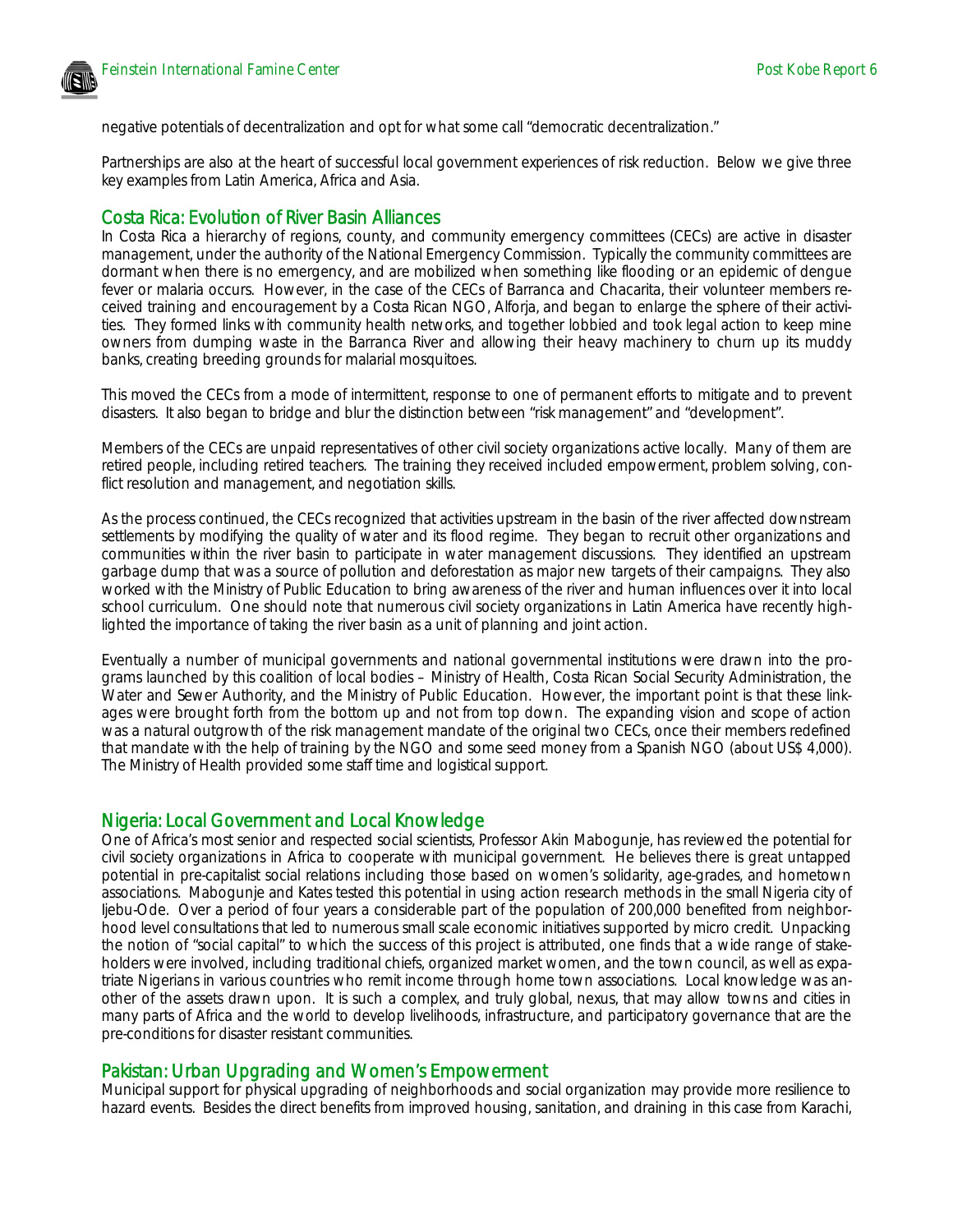

negative potentials of decentralization and opt for what some call "democratic decentralization."

Partnerships are also at the heart of successful local government experiences of risk reduction. Below we give three key examples from Latin America, Africa and Asia.

Costa Rica: Evolution of River Basin Alliances<br>In Costa Rica a hierarchy of regions, county, and community emergency committees (CECs) are active in disaster management, under the authority of the National Emergency Commission. Typically the community committees are dormant when there is no emergency, and are mobilized when something like flooding or an epidemic of dengue fever or malaria occurs. However, in the case of the CECs of Barranca and Chacarita, their volunteer members received training and encouragement by a Costa Rican NGO, Alforja, and began to enlarge the sphere of their activities. They formed links with community health networks, and together lobbied and took legal action to keep mine owners from dumping waste in the Barranca River and allowing their heavy machinery to churn up its muddy banks, creating breeding grounds for malarial mosquitoes.

This moved the CECs from a mode of intermittent, response to one of permanent efforts to mitigate and to prevent disasters. It also began to bridge and blur the distinction between "risk management" and "development".

Members of the CECs are unpaid representatives of other civil society organizations active locally. Many of them are retired people, including retired teachers. The training they received included empowerment, problem solving, conflict resolution and management, and negotiation skills.

As the process continued, the CECs recognized that activities upstream in the basin of the river affected downstream settlements by modifying the quality of water and its flood regime. They began to recruit other organizations and communities within the river basin to participate in water management discussions. They identified an upstream garbage dump that was a source of pollution and deforestation as major new targets of their campaigns. They also worked with the Ministry of Public Education to bring awareness of the river and human influences over it into local school curriculum. One should note that numerous civil society organizations in Latin America have recently highlighted the importance of taking the river basin as a unit of planning and joint action.

Eventually a number of municipal governments and national governmental institutions were drawn into the programs launched by this coalition of local bodies – Ministry of Health, Costa Rican Social Security Administration, the Water and Sewer Authority, and the Ministry of Public Education. However, the important point is that these linkages were brought forth from the bottom up and not from top down. The expanding vision and scope of action was a natural outgrowth of the risk management mandate of the original two CECs, once their members redefined that mandate with the help of training by the NGO and some seed money from a Spanish NGO (about US\$ 4,000). The Ministry of Health provided some staff time and logistical support.

#### Nigeria: Local Government and Local Knowledge

One of Africa's most senior and respected social scientists, Professor Akin Mabogunje, has reviewed the potential for civil society organizations in Africa to cooperate with municipal government. He believes there is great untapped potential in pre-capitalist social relations including those based on women's solidarity, age-grades, and hometown associations. Mabogunje and Kates tested this potential in using action research methods in the small Nigeria city of Ijebu-Ode. Over a period of four years a considerable part of the population of 200,000 benefited from neighborhood level consultations that led to numerous small scale economic initiatives supported by micro credit. Unpacking the notion of "social capital" to which the success of this project is attributed, one finds that a wide range of stakeholders were involved, including traditional chiefs, organized market women, and the town council, as well as expatriate Nigerians in various countries who remit income through home town associations. Local knowledge was another of the assets drawn upon. It is such a complex, and truly global, nexus, that may allow towns and cities in many parts of Africa and the world to develop livelihoods, infrastructure, and participatory governance that are the pre-conditions for disaster resistant communities.

#### Pakistan: Urban Upgrading and Women's Empowerment

Municipal support for physical upgrading of neighborhoods and social organization may provide more resilience to hazard events. Besides the direct benefits from improved housing, sanitation, and draining in this case from Karachi,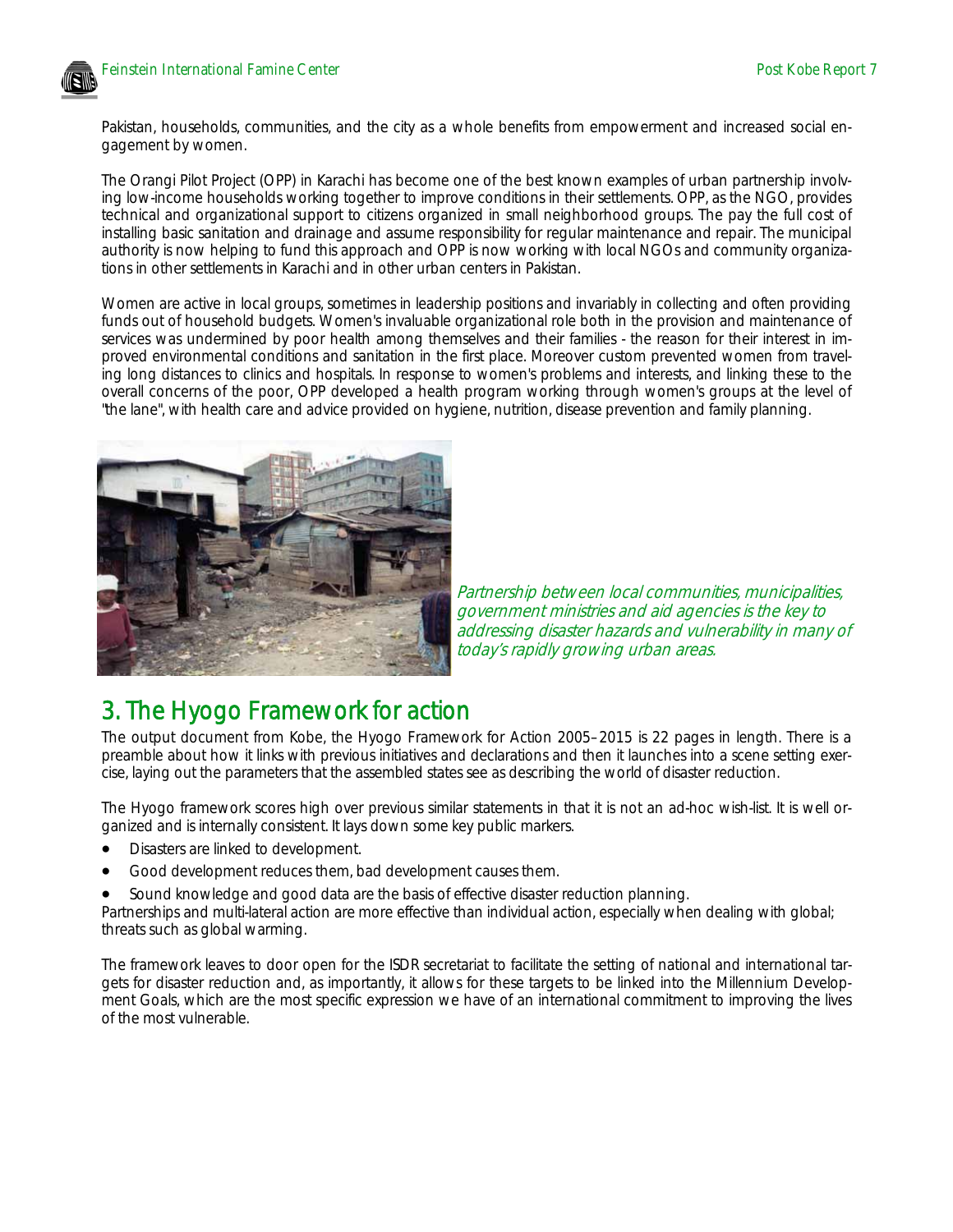

Pakistan, households, communities, and the city as a whole benefits from empowerment and increased social engagement by women.

The Orangi Pilot Project (OPP) in Karachi has become one of the best known examples of urban partnership involving low-income households working together to improve conditions in their settlements. OPP, as the NGO, provides technical and organizational support to citizens organized in small neighborhood groups. The pay the full cost of installing basic sanitation and drainage and assume responsibility for regular maintenance and repair. The municipal authority is now helping to fund this approach and OPP is now working with local NGOs and community organizations in other settlements in Karachi and in other urban centers in Pakistan.

Women are active in local groups, sometimes in leadership positions and invariably in collecting and often providing funds out of household budgets. Women's invaluable organizational role both in the provision and maintenance of services was undermined by poor health among themselves and their families - the reason for their interest in improved environmental conditions and sanitation in the first place. Moreover custom prevented women from traveling long distances to clinics and hospitals. In response to women's problems and interests, and linking these to the overall concerns of the poor, OPP developed a health program working through women's groups at the level of "the lane", with health care and advice provided on hygiene, nutrition, disease prevention and family planning.



Partnership between local communities, municipalities, government ministries and aid agencies is the key to addressing disaster hazards and vulnerability in many of today's rapidly growing urban areas.

### 3. The Hyogo Framework for action

The output document from Kobe, the Hyogo Framework for Action 2005–2015 is 22 pages in length. There is a preamble about how it links with previous initiatives and declarations and then it launches into a scene setting exercise, laying out the parameters that the assembled states see as describing the world of disaster reduction.

The Hyogo framework scores high over previous similar statements in that it is not an ad-hoc wish-list. It is well organized and is internally consistent. It lays down some key public markers.

- Disasters are linked to development.
- Good development reduces them, bad development causes them.
- Sound knowledge and good data are the basis of effective disaster reduction planning.

Partnerships and multi-lateral action are more effective than individual action, especially when dealing with global; threats such as global warming.

The framework leaves to door open for the ISDR secretariat to facilitate the setting of national and international targets for disaster reduction and, as importantly, it allows for these targets to be linked into the Millennium Development Goals, which are the most specific expression we have of an international commitment to improving the lives of the most vulnerable.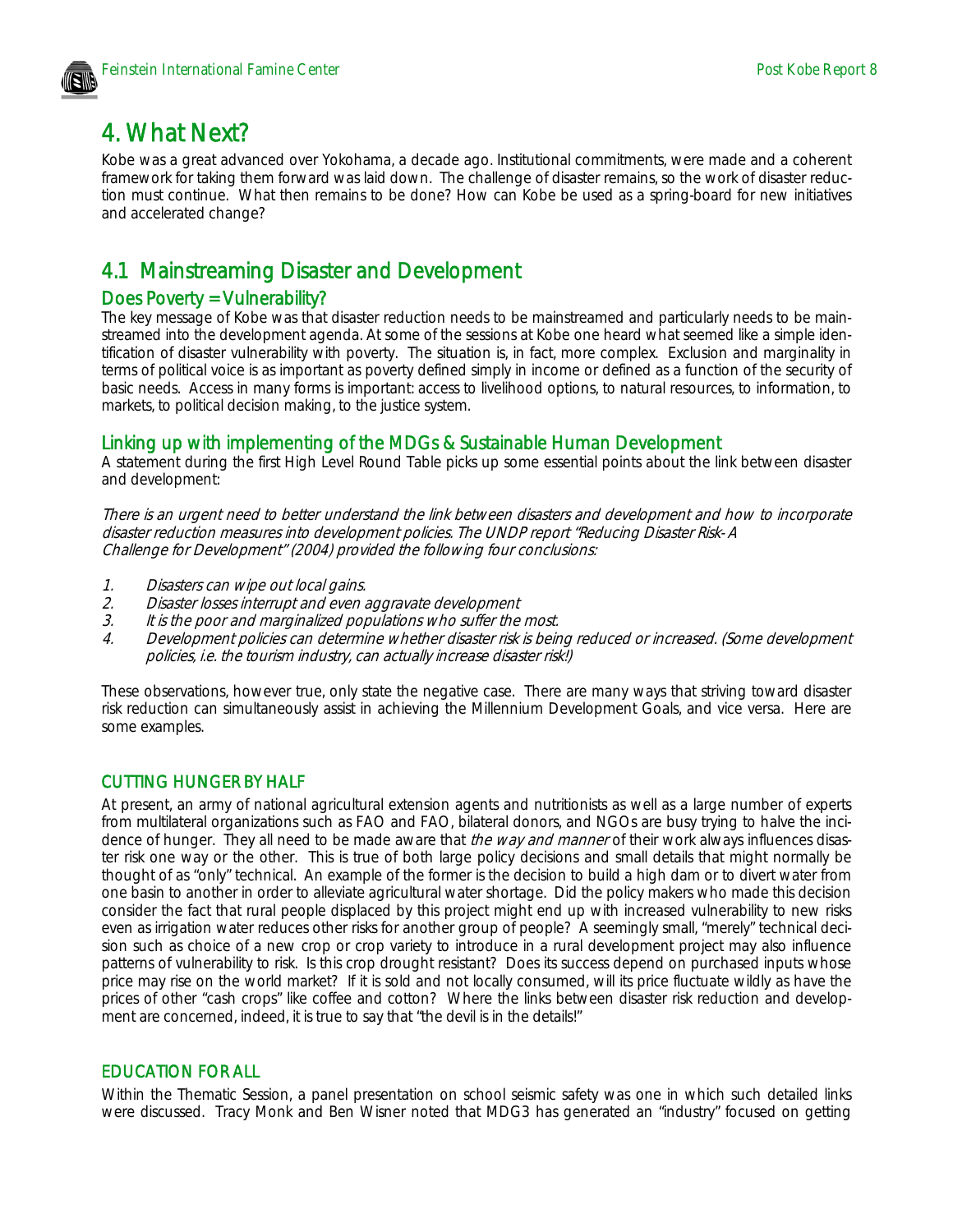

### 4. What Next?

Kobe was a great advanced over Yokohama, a decade ago. Institutional commitments, were made and a coherent framework for taking them forward was laid down. The challenge of disaster remains, so the work of disaster reduction must continue. What then remains to be done? How can Kobe be used as a spring-board for new initiatives and accelerated change?

### 4.1 Mainstreaming Disaster and Development

### Does Poverty = Vulnerability?

The key message of Kobe was that disaster reduction needs to be mainstreamed and particularly needs to be mainstreamed into the development agenda. At some of the sessions at Kobe one heard what seemed like a simple identification of disaster vulnerability with poverty. The situation is, in fact, more complex. Exclusion and marginality in terms of political voice is as important as poverty defined simply in income or defined as a function of the security of basic needs. Access in many forms is important: access to livelihood options, to natural resources, to information, to markets, to political decision making, to the justice system.

### Linking up with implementing of the MDGs & Sustainable Human Development

A statement during the first High Level Round Table picks up some essential points about the link between disaster and development:

There is an urgent need to better understand the link between disasters and development and how to incorporate disaster reduction measures into development policies. The UNDP report "Reducing Disaster Risk- A Challenge for Development" (2004) provided the following four conclusions:

- 1. Disasters can wipe out local gains.
- 2. Disaster losses interrupt and even aggravate development
- 3. It is the poor and marginalized populations who suffer the most.
- 4. Development policies can determine whether disaster risk is being reduced or increased. (Some development policies, i.e. the tourism industry, can actually increase disaster risk!)

These observations, however true, only state the negative case. There are many ways that striving toward disaster risk reduction can simultaneously assist in achieving the Millennium Development Goals, and vice versa. Here are some examples.

#### CUTTING HUNGER BY HALF

At present, an army of national agricultural extension agents and nutritionists as well as a large number of experts from multilateral organizations such as FAO and FAO, bilateral donors, and NGOs are busy trying to halve the incidence of hunger. They all need to be made aware that *the way and manner* of their work always influences disaster risk one way or the other. This is true of both large policy decisions and small details that might normally be thought of as "only" technical. An example of the former is the decision to build a high dam or to divert water from one basin to another in order to alleviate agricultural water shortage. Did the policy makers who made this decision consider the fact that rural people displaced by this project might end up with increased vulnerability to new risks even as irrigation water reduces other risks for another group of people? A seemingly small, "merely" technical decision such as choice of a new crop or crop variety to introduce in a rural development project may also influence patterns of vulnerability to risk. Is this crop drought resistant? Does its success depend on purchased inputs whose price may rise on the world market? If it is sold and not locally consumed, will its price fluctuate wildly as have the prices of other "cash crops" like coffee and cotton? Where the links between disaster risk reduction and development are concerned, indeed, it is true to say that "the devil is in the details!"

### EDUCATION FOR ALL

Within the Thematic Session, a panel presentation on school seismic safety was one in which such detailed links were discussed. Tracy Monk and Ben Wisner noted that MDG3 has generated an "industry" focused on getting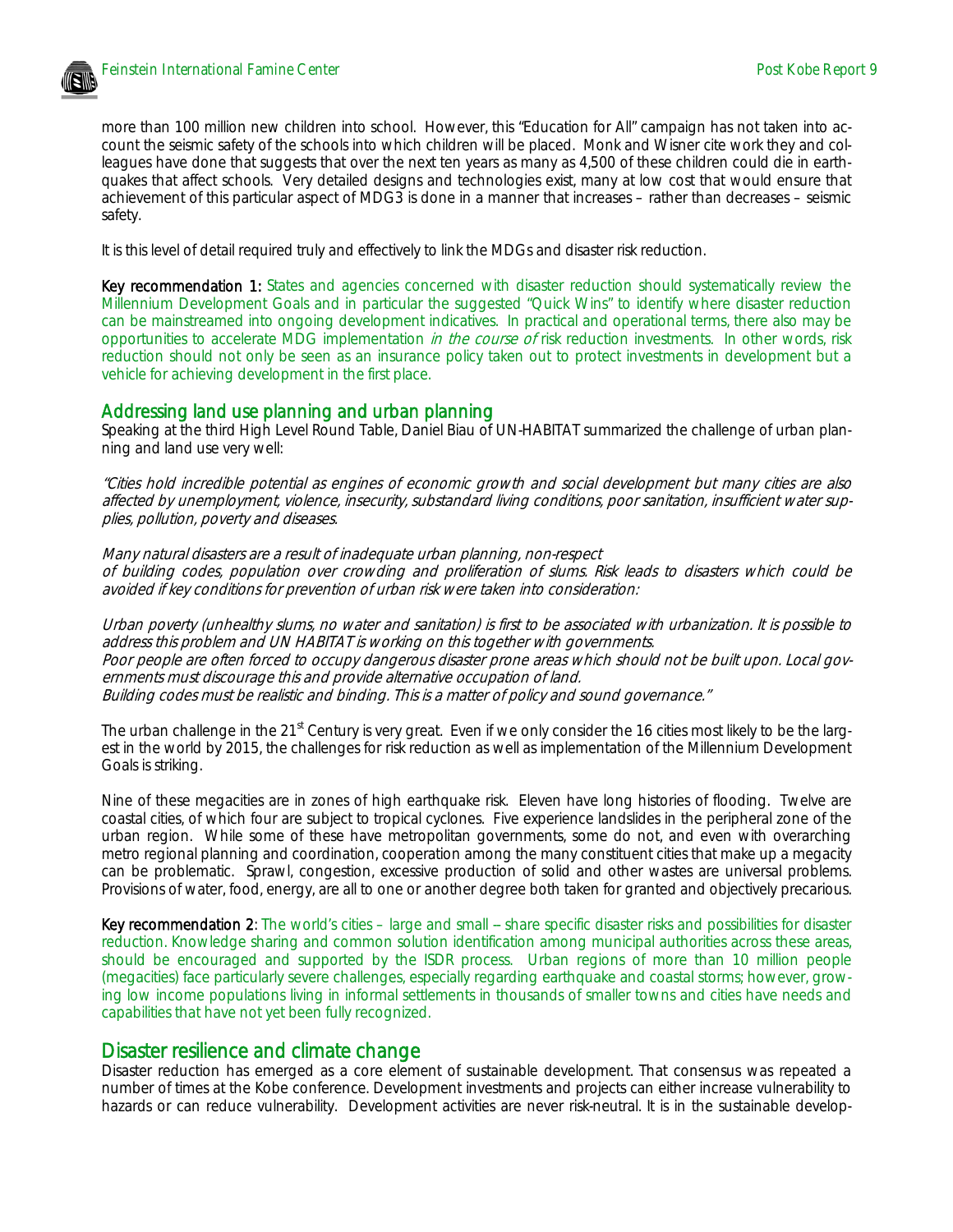

more than 100 million new children into school. However, this "Education for All" campaign has not taken into account the seismic safety of the schools into which children will be placed. Monk and Wisner cite work they and colleagues have done that suggests that over the next ten years as many as 4,500 of these children could die in earthquakes that affect schools. Very detailed designs and technologies exist, many at low cost that would ensure that achievement of this particular aspect of MDG3 is done in a manner that increases – rather than decreases – seismic safety.

It is this level of detail required truly and effectively to link the MDGs and disaster risk reduction.

Key recommendation 1: States and agencies concerned with disaster reduction should systematically review the Millennium Development Goals and in particular the suggested "Quick Wins" to identify where disaster reduction can be mainstreamed into ongoing development indicatives. In practical and operational terms, there also may be opportunities to accelerate MDG implementation in the course of risk reduction investments. In other words, risk reduction should not only be seen as an insurance policy taken out to protect investments in development but a vehicle for achieving development in the first place.

#### Addressing land use planning and urban planning

Speaking at the third High Level Round Table, Daniel Biau of UN-HABITAT summarized the challenge of urban planning and land use very well:

"Cities hold incredible potential as engines of economic growth and social development but many cities are also affected by unemployment, violence, insecurity, substandard living conditions, poor sanitation, insufficient water supplies, pollution, poverty and diseases.

Many natural disasters are a result of inadequate urban planning, non-respect of building codes, population over crowding and proliferation of slums. Risk leads to disasters which could be avoided if key conditions for prevention of urban risk were taken into consideration:

Urban poverty (unhealthy slums, no water and sanitation) is first to be associated with urbanization. It is possible to address this problem and UN HABITAT is working on this together with governments. Poor people are often forced to occupy dangerous disaster prone areas which should not be built upon. Local governments must discourage this and provide alternative occupation of land. Building codes must be realistic and binding. This is a matter of policy and sound governance."

The urban challenge in the 21<sup>st</sup> Century is very great. Even if we only consider the 16 cities most likely to be the largest in the world by 2015, the challenges for risk reduction as well as implementation of the Millennium Development Goals is striking.

Nine of these megacities are in zones of high earthquake risk. Eleven have long histories of flooding. Twelve are coastal cities, of which four are subject to tropical cyclones. Five experience landslides in the peripheral zone of the urban region. While some of these have metropolitan governments, some do not, and even with overarching metro regional planning and coordination, cooperation among the many constituent cities that make up a megacity can be problematic. Sprawl, congestion, excessive production of solid and other wastes are universal problems. Provisions of water, food, energy, are all to one or another degree both taken for granted and objectively precarious.

Key recommendation 2: The world's cities – large and small -- share specific disaster risks and possibilities for disaster reduction. Knowledge sharing and common solution identification among municipal authorities across these areas, should be encouraged and supported by the ISDR process. Urban regions of more than 10 million people (megacities) face particularly severe challenges, especially regarding earthquake and coastal storms; however, growing low income populations living in informal settlements in thousands of smaller towns and cities have needs and capabilities that have not yet been fully recognized.

#### Disaster resilience and climate change

Disaster reduction has emerged as a core element of sustainable development. That consensus was repeated a number of times at the Kobe conference. Development investments and projects can either increase vulnerability to hazards or can reduce vulnerability. Development activities are never risk-neutral. It is in the sustainable develop-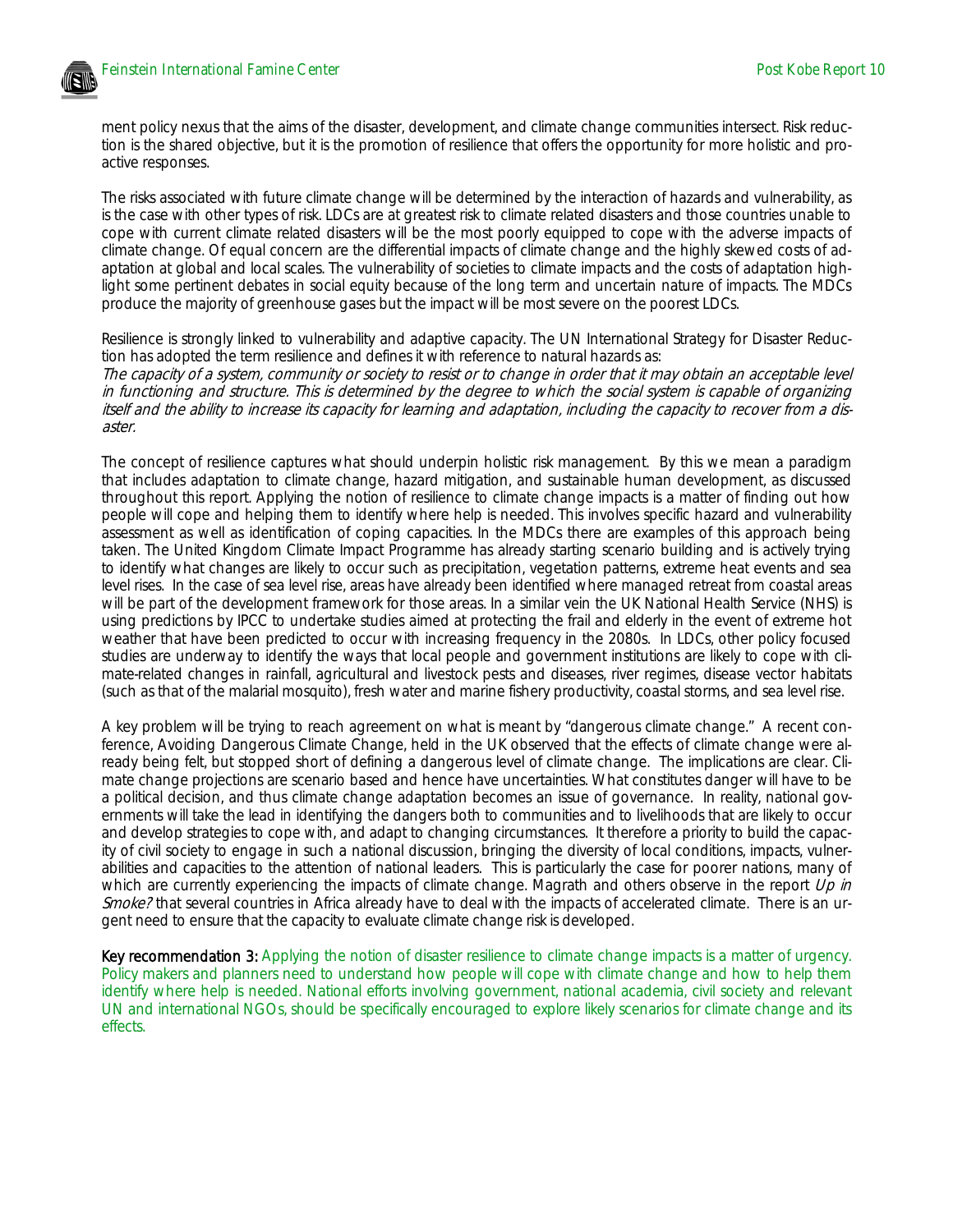

ment policy nexus that the aims of the disaster, development, and climate change communities intersect. Risk reduction is the shared objective, but it is the promotion of resilience that offers the opportunity for more holistic and proactive responses.

The risks associated with future climate change will be determined by the interaction of hazards and vulnerability, as is the case with other types of risk. LDCs are at greatest risk to climate related disasters and those countries unable to cope with current climate related disasters will be the most poorly equipped to cope with the adverse impacts of climate change. Of equal concern are the differential impacts of climate change and the highly skewed costs of adaptation at global and local scales. The vulnerability of societies to climate impacts and the costs of adaptation highlight some pertinent debates in social equity because of the long term and uncertain nature of impacts. The MDCs produce the majority of greenhouse gases but the impact will be most severe on the poorest LDCs.

Resilience is strongly linked to vulnerability and adaptive capacity. The UN International Strategy for Disaster Reduction has adopted the term resilience and defines it with reference to natural hazards as: The capacity of a system, community or society to resist or to change in order that it may obtain an acceptable level

in functioning and structure. This is determined by the degree to which the social system is capable of organizing itself and the ability to increase its capacity for learning and adaptation, including the capacity to recover from a disaster.

The concept of resilience captures what should underpin holistic risk management. By this we mean a paradigm that includes adaptation to climate change, hazard mitigation, and sustainable human development, as discussed throughout this report. Applying the notion of resilience to climate change impacts is a matter of finding out how people will cope and helping them to identify where help is needed. This involves specific hazard and vulnerability assessment as well as identification of coping capacities. In the MDCs there are examples of this approach being taken. The United Kingdom Climate Impact Programme has already starting scenario building and is actively trying to identify what changes are likely to occur such as precipitation, vegetation patterns, extreme heat events and sea level rises. In the case of sea level rise, areas have already been identified where managed retreat from coastal areas will be part of the development framework for those areas. In a similar vein the UK National Health Service (NHS) is using predictions by IPCC to undertake studies aimed at protecting the frail and elderly in the event of extreme hot weather that have been predicted to occur with increasing frequency in the 2080s. In LDCs, other policy focused studies are underway to identify the ways that local people and government institutions are likely to cope with climate-related changes in rainfall, agricultural and livestock pests and diseases, river regimes, disease vector habitats (such as that of the malarial mosquito), fresh water and marine fishery productivity, coastal storms, and sea level rise.

A key problem will be trying to reach agreement on what is meant by "dangerous climate change." A recent conference, Avoiding Dangerous Climate Change, held in the UK observed that the effects of climate change were already being felt, but stopped short of defining a dangerous level of climate change. The implications are clear. Climate change projections are scenario based and hence have uncertainties. What constitutes danger will have to be a political decision, and thus climate change adaptation becomes an issue of governance. In reality, national governments will take the lead in identifying the dangers both to communities and to livelihoods that are likely to occur and develop strategies to cope with, and adapt to changing circumstances. It therefore a priority to build the capacity of civil society to engage in such a national discussion, bringing the diversity of local conditions, impacts, vulnerabilities and capacities to the attention of national leaders. This is particularly the case for poorer nations, many of which are currently experiencing the impacts of climate change. Magrath and others observe in the report  $Up$  in Smoke? that several countries in Africa already have to deal with the impacts of accelerated climate. There is an urgent need to ensure that the capacity to evaluate climate change risk is developed.

Key recommendation 3: Applying the notion of disaster resilience to climate change impacts is a matter of urgency. Policy makers and planners need to understand how people will cope with climate change and how to help them identify where help is needed. National efforts involving government, national academia, civil society and relevant UN and international NGOs, should be specifically encouraged to explore likely scenarios for climate change and its effects.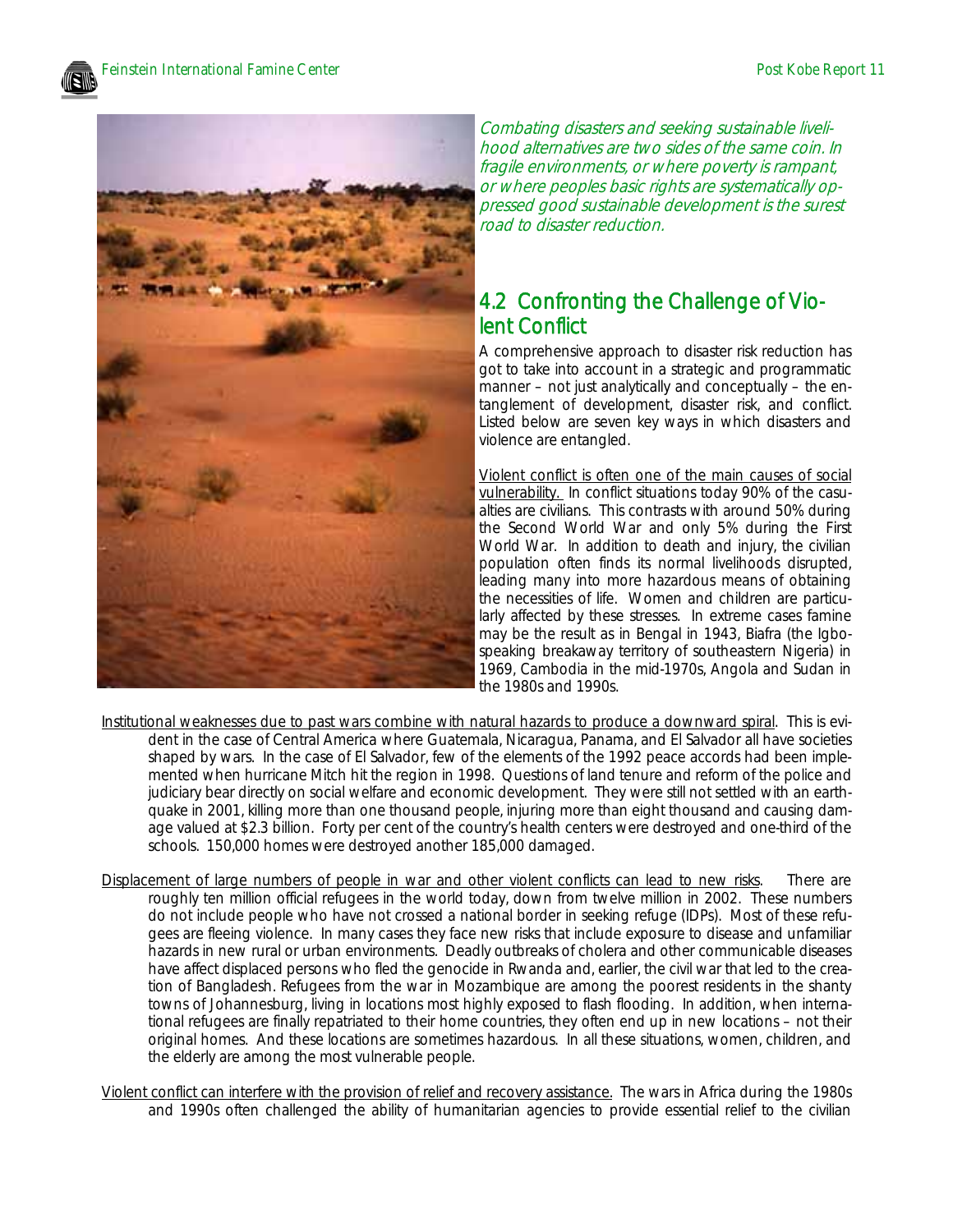

Combating disasters and seeking sustainable livelihood alternatives are two sides of the same coin. In fragile environments, or where poverty is rampant, or where peoples basic rights are systematically oppressed good sustainable development is the surest road to disaster reduction.

### 4.2 Confronting the Challenge of Violent Conflict

A comprehensive approach to disaster risk reduction has got to take into account in a strategic and programmatic manner – not just analytically and conceptually – the entanglement of development, disaster risk, and conflict. Listed below are seven key ways in which disasters and violence are entangled.

Violent conflict is often one of the main causes of social vulnerability. In conflict situations today 90% of the casualties are civilians. This contrasts with around 50% during the Second World War and only 5% during the First World War. In addition to death and injury, the civilian population often finds its normal livelihoods disrupted, leading many into more hazardous means of obtaining the necessities of life. Women and children are particularly affected by these stresses. In extreme cases famine may be the result as in Bengal in 1943, Biafra (the Igbospeaking breakaway territory of southeastern Nigeria) in 1969, Cambodia in the mid-1970s, Angola and Sudan in the 1980s and 1990s.

- Institutional weaknesses due to past wars combine with natural hazards to produce a downward spiral. This is evident in the case of Central America where Guatemala, Nicaragua, Panama, and El Salvador all have societies shaped by wars. In the case of El Salvador, few of the elements of the 1992 peace accords had been implemented when hurricane Mitch hit the region in 1998. Questions of land tenure and reform of the police and judiciary bear directly on social welfare and economic development. They were still not settled with an earthquake in 2001, killing more than one thousand people, injuring more than eight thousand and causing damage valued at \$2.3 billion. Forty per cent of the country's health centers were destroyed and one-third of the schools. 150,000 homes were destroyed another 185,000 damaged.
- Displacement of large numbers of people in war and other violent conflicts can lead to new risks. There are roughly ten million official refugees in the world today, down from twelve million in 2002. These numbers do not include people who have not crossed a national border in seeking refuge (IDPs). Most of these refugees are fleeing violence. In many cases they face new risks that include exposure to disease and unfamiliar hazards in new rural or urban environments. Deadly outbreaks of cholera and other communicable diseases have affect displaced persons who fled the genocide in Rwanda and, earlier, the civil war that led to the creation of Bangladesh. Refugees from the war in Mozambique are among the poorest residents in the shanty towns of Johannesburg, living in locations most highly exposed to flash flooding. In addition, when international refugees are finally repatriated to their home countries, they often end up in new locations – not their original homes. And these locations are sometimes hazardous. In all these situations, women, children, and the elderly are among the most vulnerable people.
- Violent conflict can interfere with the provision of relief and recovery assistance. The wars in Africa during the 1980s and 1990s often challenged the ability of humanitarian agencies to provide essential relief to the civilian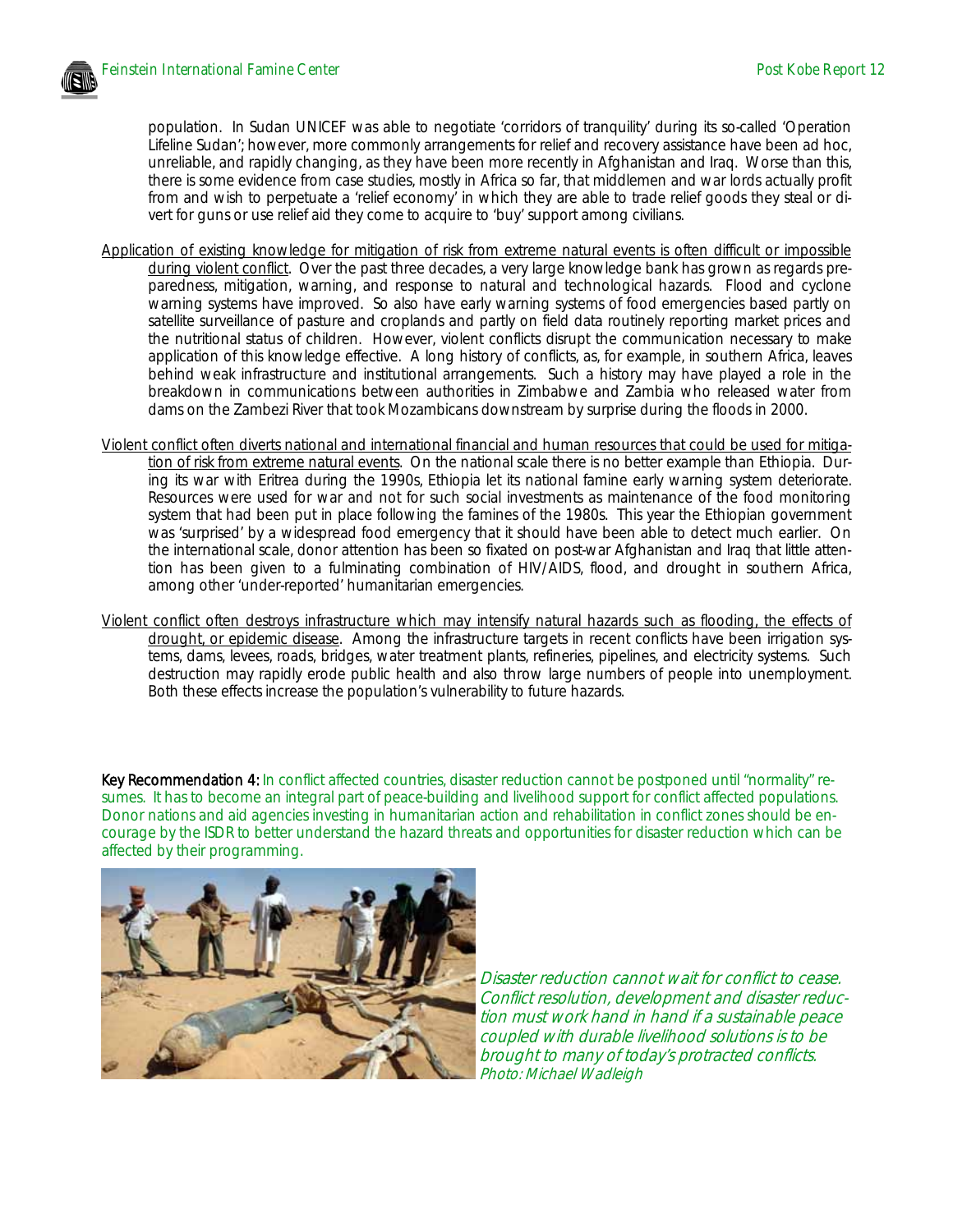population. In Sudan UNICEF was able to negotiate 'corridors of tranquility' during its so-called 'Operation Lifeline Sudan'; however, more commonly arrangements for relief and recovery assistance have been ad hoc, unreliable, and rapidly changing, as they have been more recently in Afghanistan and Iraq. Worse than this, there is some evidence from case studies, mostly in Africa so far, that middlemen and war lords actually profit from and wish to perpetuate a 'relief economy' in which they are able to trade relief goods they steal or divert for guns or use relief aid they come to acquire to 'buy' support among civilians.

- Application of existing knowledge for mitigation of risk from extreme natural events is often difficult or impossible during violent conflict. Over the past three decades, a very large knowledge bank has grown as regards preparedness, mitigation, warning, and response to natural and technological hazards. Flood and cyclone warning systems have improved. So also have early warning systems of food emergencies based partly on satellite surveillance of pasture and croplands and partly on field data routinely reporting market prices and the nutritional status of children. However, violent conflicts disrupt the communication necessary to make application of this knowledge effective. A long history of conflicts, as, for example, in southern Africa, leaves behind weak infrastructure and institutional arrangements. Such a history may have played a role in the breakdown in communications between authorities in Zimbabwe and Zambia who released water from dams on the Zambezi River that took Mozambicans downstream by surprise during the floods in 2000.
- Violent conflict often diverts national and international financial and human resources that could be used for mitigation of risk from extreme natural events. On the national scale there is no better example than Ethiopia. During its war with Eritrea during the 1990s, Ethiopia let its national famine early warning system deteriorate. Resources were used for war and not for such social investments as maintenance of the food monitoring system that had been put in place following the famines of the 1980s. This year the Ethiopian government was 'surprised' by a widespread food emergency that it should have been able to detect much earlier. On the international scale, donor attention has been so fixated on post-war Afghanistan and Iraq that little attention has been given to a fulminating combination of HIV/AIDS, flood, and drought in southern Africa, among other 'under-reported' humanitarian emergencies.
- Violent conflict often destroys infrastructure which may intensify natural hazards such as flooding, the effects of drought, or epidemic disease. Among the infrastructure targets in recent conflicts have been irrigation systems, dams, levees, roads, bridges, water treatment plants, refineries, pipelines, and electricity systems. Such destruction may rapidly erode public health and also throw large numbers of people into unemployment. Both these effects increase the population's vulnerability to future hazards.

Key Recommendation 4: In conflict affected countries, disaster reduction cannot be postponed until "normality" resumes. It has to become an integral part of peace-building and livelihood support for conflict affected populations. Donor nations and aid agencies investing in humanitarian action and rehabilitation in conflict zones should be encourage by the ISDR to better understand the hazard threats and opportunities for disaster reduction which can be affected by their programming.



Disaster reduction cannot wait for conflict to cease. Conflict resolution, development and disaster reduction must work hand in hand if a sustainable peace coupled with durable livelihood solutions is to be brought to many of today's protracted conflicts. Photo: Michael Wadleigh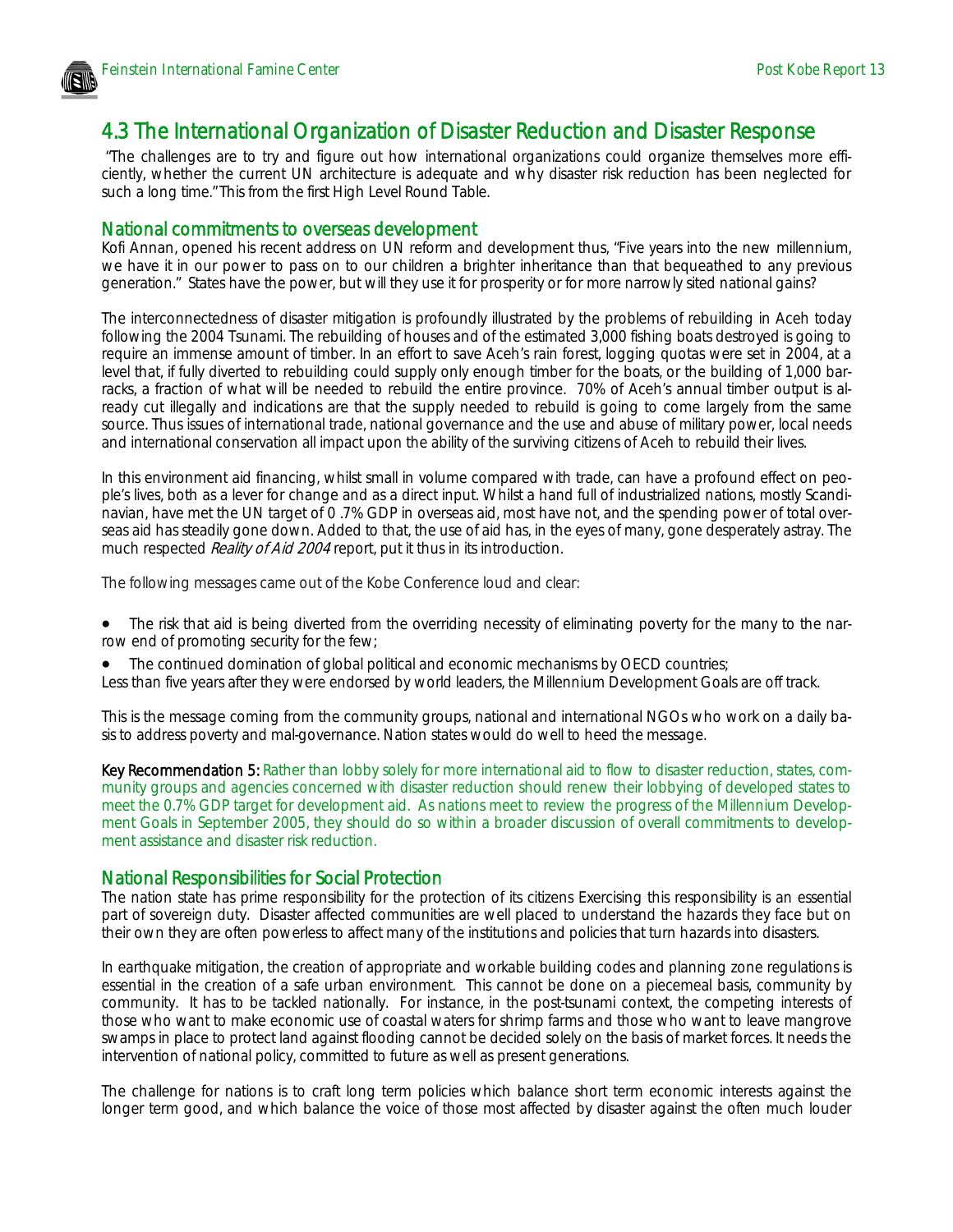

### 4.3 The International Organization of Disaster Reduction and Disaster Response

 "The challenges are to try and figure out how international organizations could organize themselves more efficiently, whether the current UN architecture is adequate and why disaster risk reduction has been neglected for such a long time." This from the first High Level Round Table.

#### National commitments to overseas development

Kofi Annan, opened his recent address on UN reform and development thus, "Five years into the new millennium, we have it in our power to pass on to our children a brighter inheritance than that bequeathed to any previous generation." States have the power, but will they use it for prosperity or for more narrowly sited national gains?

The interconnectedness of disaster mitigation is profoundly illustrated by the problems of rebuilding in Aceh today following the 2004 Tsunami. The rebuilding of houses and of the estimated 3,000 fishing boats destroyed is going to require an immense amount of timber. In an effort to save Aceh's rain forest, logging quotas were set in 2004, at a level that, if fully diverted to rebuilding could supply only enough timber for the boats, or the building of 1,000 barracks, a fraction of what will be needed to rebuild the entire province. 70% of Aceh's annual timber output is already cut illegally and indications are that the supply needed to rebuild is going to come largely from the same source. Thus issues of international trade, national governance and the use and abuse of military power, local needs and international conservation all impact upon the ability of the surviving citizens of Aceh to rebuild their lives.

In this environment aid financing, whilst small in volume compared with trade, can have a profound effect on people's lives, both as a lever for change and as a direct input. Whilst a hand full of industrialized nations, mostly Scandinavian, have met the UN target of 0 .7% GDP in overseas aid, most have not, and the spending power of total overseas aid has steadily gone down. Added to that, the use of aid has, in the eyes of many, gone desperately astray. The much respected Reality of Aid 2004 report, put it thus in its introduction.

The following messages came out of the Kobe Conference loud and clear:

- The risk that aid is being diverted from the overriding necessity of eliminating poverty for the many to the narrow end of promoting security for the few;
- The continued domination of global political and economic mechanisms by OECD countries;
- Less than five years after they were endorsed by world leaders, the Millennium Development Goals are off track.

This is the message coming from the community groups, national and international NGOs who work on a daily basis to address poverty and mal-governance. Nation states would do well to heed the message.

Key Recommendation 5: Rather than lobby solely for more international aid to flow to disaster reduction, states, community groups and agencies concerned with disaster reduction should renew their lobbying of developed states to meet the 0.7% GDP target for development aid. As nations meet to review the progress of the Millennium Development Goals in September 2005, they should do so within a broader discussion of overall commitments to development assistance and disaster risk reduction.

#### National Responsibilities for Social Protection

The nation state has prime responsibility for the protection of its citizens Exercising this responsibility is an essential part of sovereign duty. Disaster affected communities are well placed to understand the hazards they face but on their own they are often powerless to affect many of the institutions and policies that turn hazards into disasters.

In earthquake mitigation, the creation of appropriate and workable building codes and planning zone regulations is essential in the creation of a safe urban environment. This cannot be done on a piecemeal basis, community by community. It has to be tackled nationally. For instance, in the post-tsunami context, the competing interests of those who want to make economic use of coastal waters for shrimp farms and those who want to leave mangrove swamps in place to protect land against flooding cannot be decided solely on the basis of market forces. It needs the intervention of national policy, committed to future as well as present generations.

The challenge for nations is to craft long term policies which balance short term economic interests against the longer term good, and which balance the voice of those most affected by disaster against the often much louder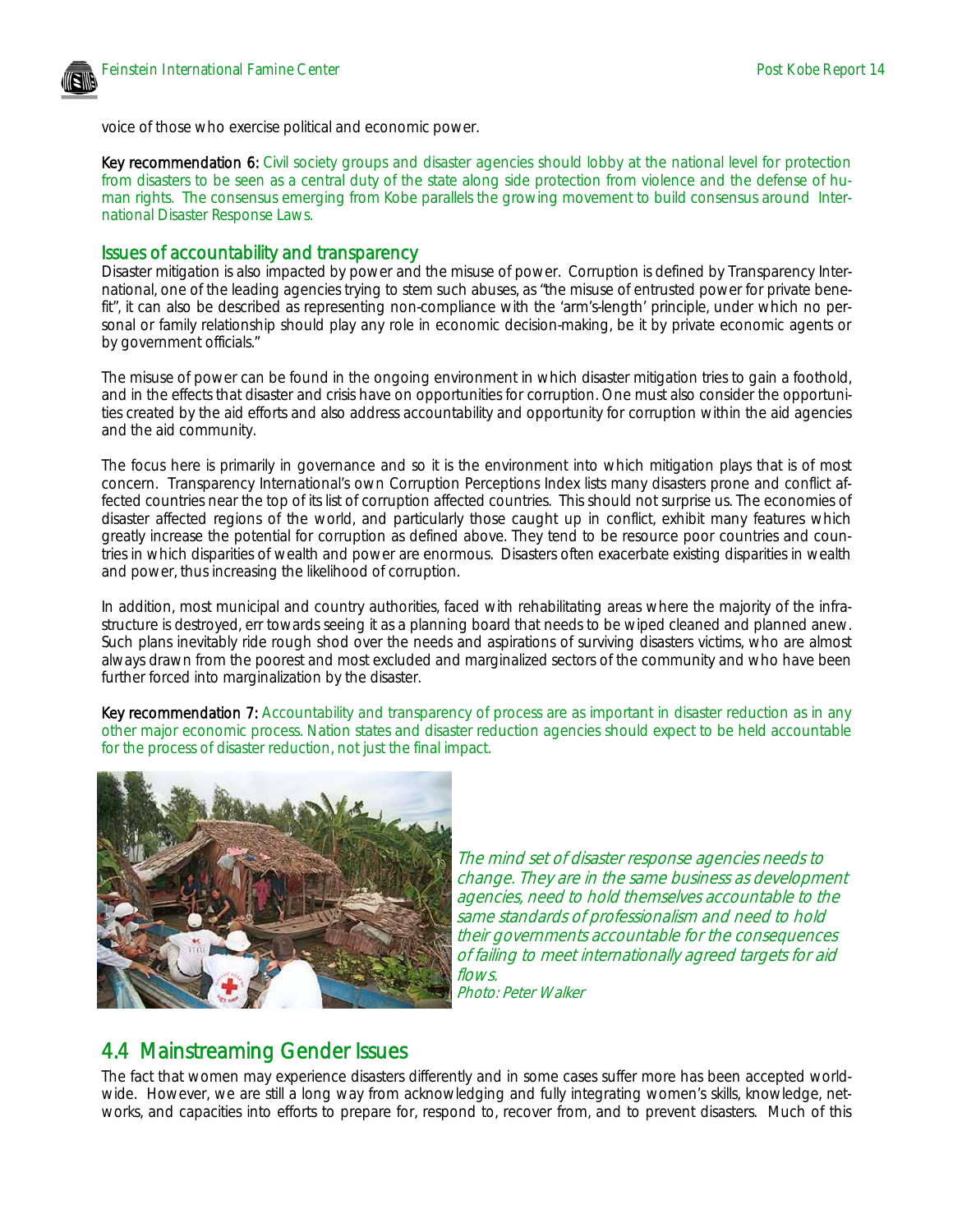

voice of those who exercise political and economic power.

Key recommendation 6: Civil society groups and disaster agencies should lobby at the national level for protection from disasters to be seen as a central duty of the state along side protection from violence and the defense of human rights. The consensus emerging from Kobe parallels the growing movement to build consensus around International Disaster Response Laws.

#### Issues of accountability and transparency

Disaster mitigation is also impacted by power and the misuse of power. Corruption is defined by Transparency International, one of the leading agencies trying to stem such abuses, as "the misuse of entrusted power for private benefit", it can also be described as representing non-compliance with the 'arm's-length' principle, under which no personal or family relationship should play any role in economic decision-making, be it by private economic agents or by government officials."

The misuse of power can be found in the ongoing environment in which disaster mitigation tries to gain a foothold, and in the effects that disaster and crisis have on opportunities for corruption. One must also consider the opportunities created by the aid efforts and also address accountability and opportunity for corruption within the aid agencies and the aid community.

The focus here is primarily in governance and so it is the environment into which mitigation plays that is of most concern. Transparency International's own Corruption Perceptions Index lists many disasters prone and conflict affected countries near the top of its list of corruption affected countries. This should not surprise us. The economies of disaster affected regions of the world, and particularly those caught up in conflict, exhibit many features which greatly increase the potential for corruption as defined above. They tend to be resource poor countries and countries in which disparities of wealth and power are enormous. Disasters often exacerbate existing disparities in wealth and power, thus increasing the likelihood of corruption.

In addition, most municipal and country authorities, faced with rehabilitating areas where the majority of the infrastructure is destroyed, err towards seeing it as a planning board that needs to be wiped cleaned and planned anew. Such plans inevitably ride rough shod over the needs and aspirations of surviving disasters victims, who are almost always drawn from the poorest and most excluded and marginalized sectors of the community and who have been further forced into marginalization by the disaster.

**Key recommendation 7:** Accountability and transparency of process are as important in disaster reduction as in any other major economic process. Nation states and disaster reduction agencies should expect to be held accountable for the process of disaster reduction, not just the final impact.



The mind set of disaster response agencies needs to change. They are in the same business as development agencies, need to hold themselves accountable to the same standards of professionalism and need to hold their governments accountable for the consequences of failing to meet internationally agreed targets for aid flows.

#### Photo: Peter Walker

### 4.4 Mainstreaming Gender Issues

The fact that women may experience disasters differently and in some cases suffer more has been accepted worldwide. However, we are still a long way from acknowledging and fully integrating women's skills, knowledge, networks, and capacities into efforts to prepare for, respond to, recover from, and to prevent disasters. Much of this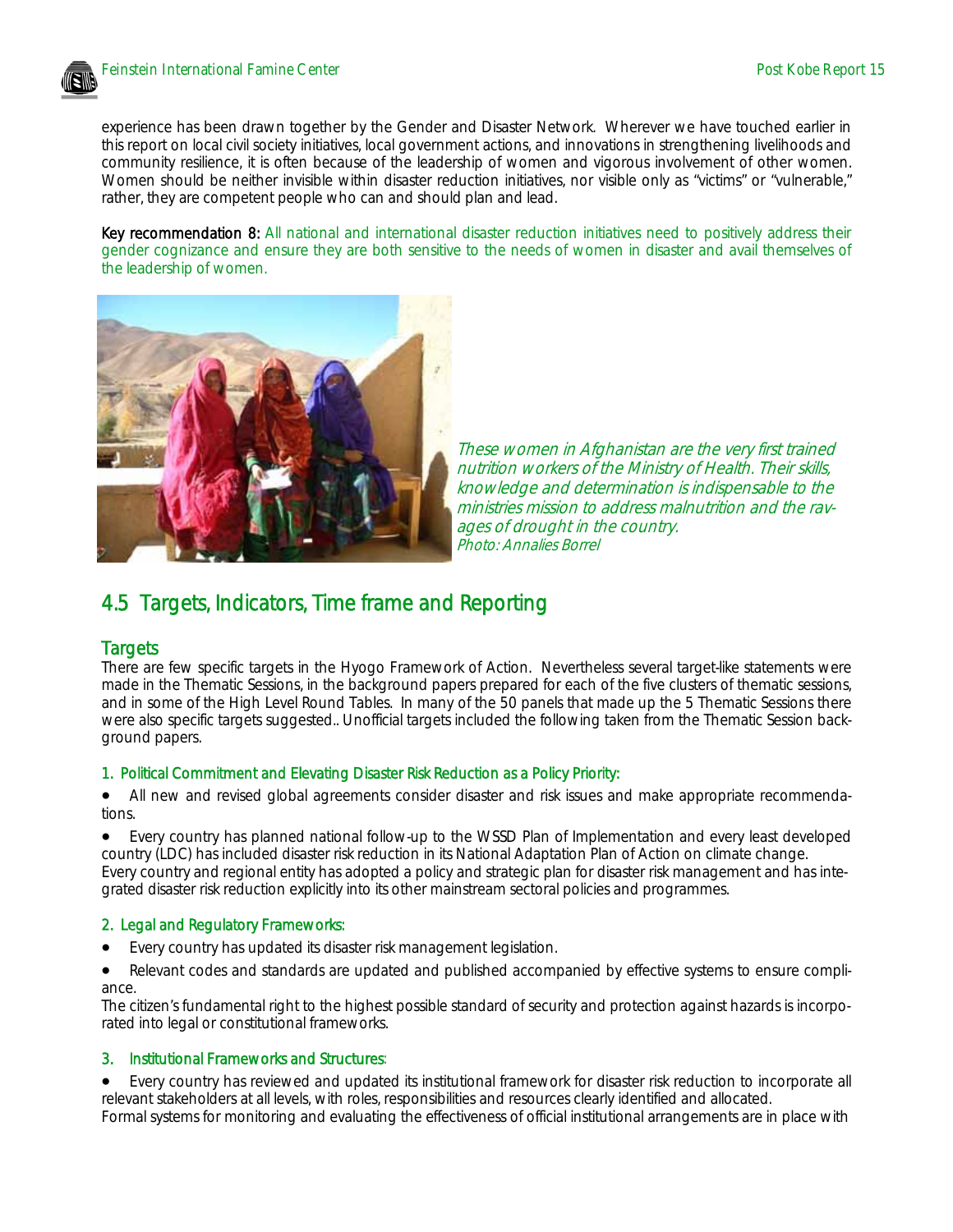

experience has been drawn together by the Gender and Disaster Network. Wherever we have touched earlier in this report on local civil society initiatives, local government actions, and innovations in strengthening livelihoods and community resilience, it is often because of the leadership of women and vigorous involvement of other women. Women should be neither invisible within disaster reduction initiatives, nor visible only as "victims" or "vulnerable," rather, they are competent people who can and should plan and lead.

Key recommendation 8: All national and international disaster reduction initiatives need to positively address their gender cognizance and ensure they are both sensitive to the needs of women in disaster and avail themselves of the leadership of women.



These women in Afghanistan are the very first trained nutrition workers of the Ministry of Health. Their skills, knowledge and determination is indispensable to the ministries mission to address malnutrition and the ravages of drought in the country. Photo: Annalies Borrel

### 4.5 Targets, Indicators, Time frame and Reporting

#### **Targets**

There are few specific targets in the Hyogo Framework of Action. Nevertheless several target-like statements were made in the Thematic Sessions, in the background papers prepared for each of the five clusters of thematic sessions, and in some of the High Level Round Tables. In many of the 50 panels that made up the 5 Thematic Sessions there were also specific targets suggested.. Unofficial targets included the following taken from the Thematic Session background papers.

#### 1. Political Commitment and Elevating Disaster Risk Reduction as a Policy Priority:

• All new and revised global agreements consider disaster and risk issues and make appropriate recommendations.

• Every country has planned national follow-up to the WSSD Plan of Implementation and every least developed country (LDC) has included disaster risk reduction in its National Adaptation Plan of Action on climate change. Every country and regional entity has adopted a policy and strategic plan for disaster risk management and has integrated disaster risk reduction explicitly into its other mainstream sectoral policies and programmes.

#### 2. Legal and Regulatory Frameworks:

• Every country has updated its disaster risk management legislation.

• Relevant codes and standards are updated and published accompanied by effective systems to ensure compliance.

The citizen's fundamental right to the highest possible standard of security and protection against hazards is incorporated into legal or constitutional frameworks.

#### 3. Institutional Frameworks and Structures:

• Every country has reviewed and updated its institutional framework for disaster risk reduction to incorporate all relevant stakeholders at all levels, with roles, responsibilities and resources clearly identified and allocated. Formal systems for monitoring and evaluating the effectiveness of official institutional arrangements are in place with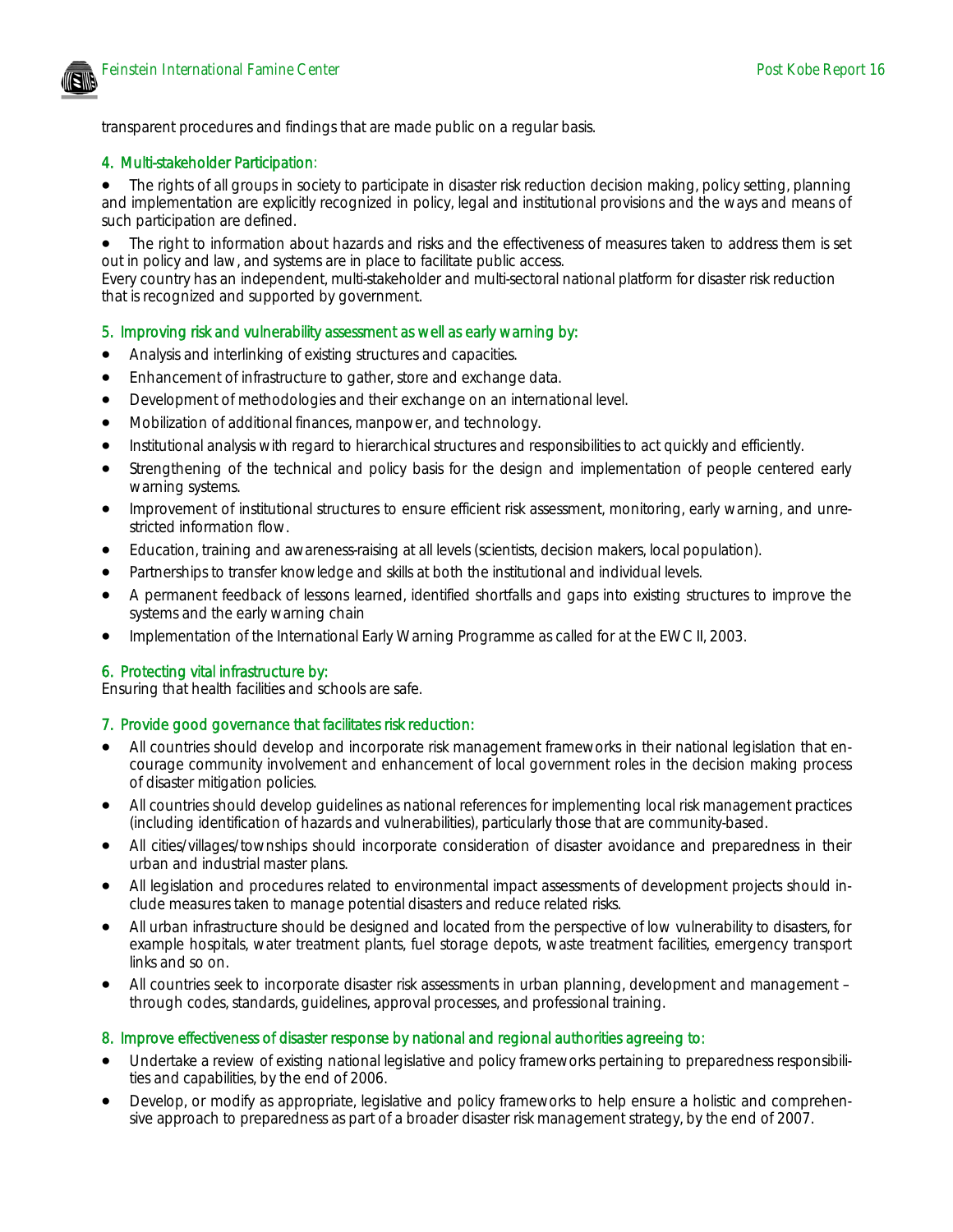

transparent procedures and findings that are made public on a regular basis.

#### 4. Multi-stakeholder Participation:

• The rights of all groups in society to participate in disaster risk reduction decision making, policy setting, planning and implementation are explicitly recognized in policy, legal and institutional provisions and the ways and means of such participation are defined.

• The right to information about hazards and risks and the effectiveness of measures taken to address them is set out in policy and law, and systems are in place to facilitate public access.

Every country has an independent, multi-stakeholder and multi-sectoral national platform for disaster risk reduction that is recognized and supported by government.

#### 5. Improving risk and vulnerability assessment as well as early warning by:

- Analysis and interlinking of existing structures and capacities.
- Enhancement of infrastructure to gather, store and exchange data.
- Development of methodologies and their exchange on an international level.
- Mobilization of additional finances, manpower, and technology.
- Institutional analysis with regard to hierarchical structures and responsibilities to act quickly and efficiently.
- Strengthening of the technical and policy basis for the design and implementation of people centered early warning systems.
- Improvement of institutional structures to ensure efficient risk assessment, monitoring, early warning, and unrestricted information flow.
- Education, training and awareness-raising at all levels (scientists, decision makers, local population).
- Partnerships to transfer knowledge and skills at both the institutional and individual levels.
- A permanent feedback of lessons learned, identified shortfalls and gaps into existing structures to improve the systems and the early warning chain
- Implementation of the International Early Warning Programme as called for at the EWC II, 2003.

#### 6. Protecting vital infrastructure by:

Ensuring that health facilities and schools are safe.

#### 7. Provide good governance that facilitates risk reduction:

- All countries should develop and incorporate risk management frameworks in their national legislation that encourage community involvement and enhancement of local government roles in the decision making process of disaster mitigation policies.
- All countries should develop guidelines as national references for implementing local risk management practices (including identification of hazards and vulnerabilities), particularly those that are community-based.
- All cities/villages/townships should incorporate consideration of disaster avoidance and preparedness in their urban and industrial master plans.
- All legislation and procedures related to environmental impact assessments of development projects should include measures taken to manage potential disasters and reduce related risks.
- All urban infrastructure should be designed and located from the perspective of low vulnerability to disasters, for example hospitals, water treatment plants, fuel storage depots, waste treatment facilities, emergency transport links and so on.
- All countries seek to incorporate disaster risk assessments in urban planning, development and management through codes, standards, guidelines, approval processes, and professional training.

#### 8. Improve effectiveness of disaster response by national and regional authorities agreeing to:

- Undertake a review of existing national legislative and policy frameworks pertaining to preparedness responsibilities and capabilities, by the end of 2006.
- Develop, or modify as appropriate, legislative and policy frameworks to help ensure a holistic and comprehensive approach to preparedness as part of a broader disaster risk management strategy, by the end of 2007.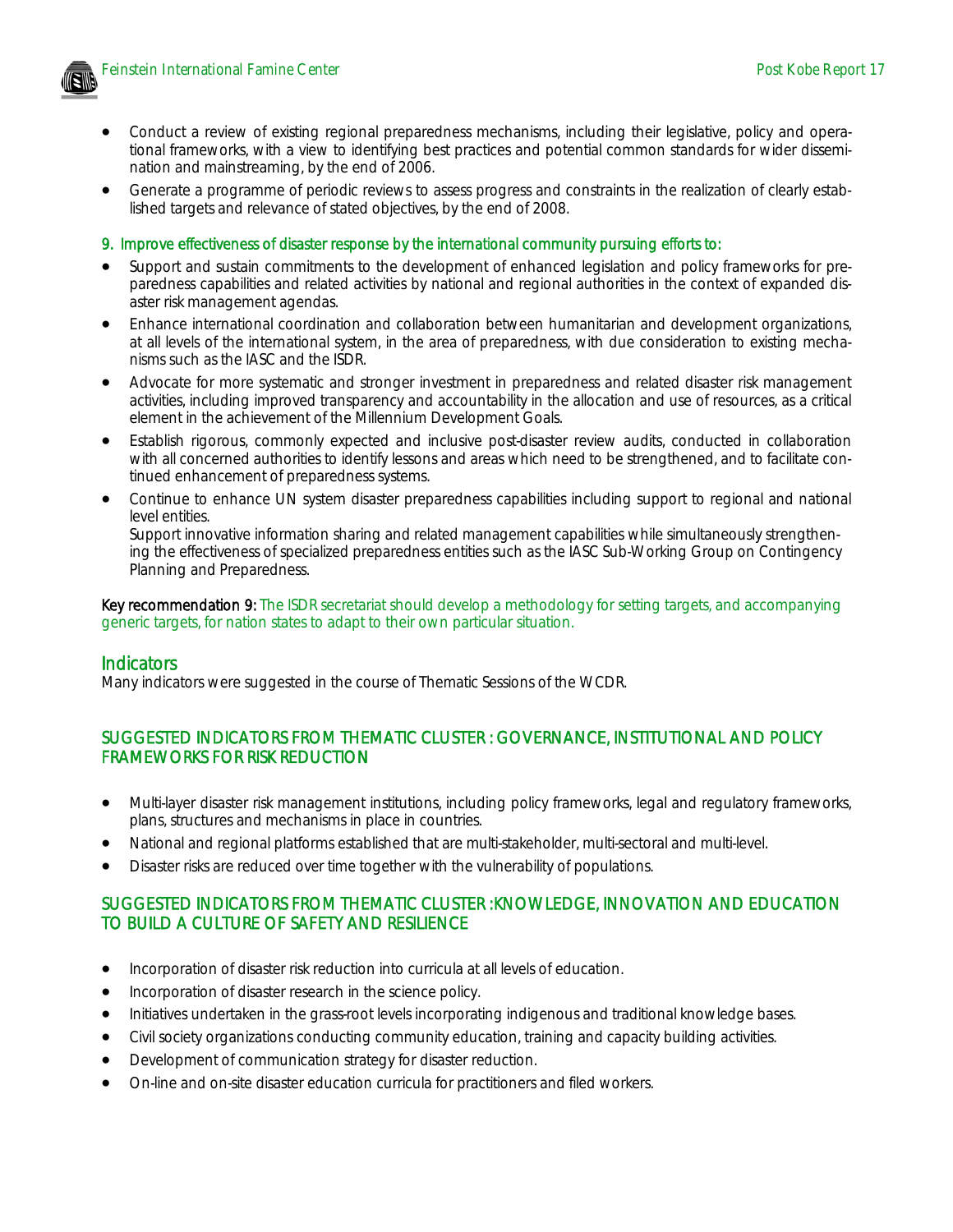

- Conduct a review of existing regional preparedness mechanisms, including their legislative, policy and operational frameworks, with a view to identifying best practices and potential common standards for wider dissemination and mainstreaming, by the end of 2006.
- Generate a programme of periodic reviews to assess progress and constraints in the realization of clearly established targets and relevance of stated objectives, by the end of 2008.

#### 9. Improve effectiveness of disaster response by the international community pursuing efforts to:

- Support and sustain commitments to the development of enhanced legislation and policy frameworks for preparedness capabilities and related activities by national and regional authorities in the context of expanded disaster risk management agendas.
- Enhance international coordination and collaboration between humanitarian and development organizations, at all levels of the international system, in the area of preparedness, with due consideration to existing mechanisms such as the IASC and the ISDR.
- Advocate for more systematic and stronger investment in preparedness and related disaster risk management activities, including improved transparency and accountability in the allocation and use of resources, as a critical element in the achievement of the Millennium Development Goals.
- Establish rigorous, commonly expected and inclusive post-disaster review audits, conducted in collaboration with all concerned authorities to identify lessons and areas which need to be strengthened, and to facilitate continued enhancement of preparedness systems.
- Continue to enhance UN system disaster preparedness capabilities including support to regional and national level entities.

Support innovative information sharing and related management capabilities while simultaneously strengthening the effectiveness of specialized preparedness entities such as the IASC Sub-Working Group on Contingency Planning and Preparedness.

Key recommendation 9: The ISDR secretariat should develop a methodology for setting targets, and accompanying generic targets, for nation states to adapt to their own particular situation.

#### **Indicators**

Many indicators were suggested in the course of Thematic Sessions of the WCDR.

#### SUGGESTED INDICATORS FROM THEMATIC CLUSTER : GOVERNANCE, INSTITUTIONAL AND POLICY FRAMEWORKS FOR RISK REDUCTION

- Multi-layer disaster risk management institutions, including policy frameworks, legal and regulatory frameworks, plans, structures and mechanisms in place in countries.
- National and regional platforms established that are multi-stakeholder, multi-sectoral and multi-level.
- Disaster risks are reduced over time together with the vulnerability of populations.

#### SUGGESTED INDICATORS FROM THEMATIC CLUSTER : KNOWLEDGE, INNOVATION AND EDUCATION TO BUILD A CULTURE OF SAFETY AND RESILIENCE

- Incorporation of disaster risk reduction into curricula at all levels of education.
- Incorporation of disaster research in the science policy.
- Initiatives undertaken in the grass-root levels incorporating indigenous and traditional knowledge bases.
- Civil society organizations conducting community education, training and capacity building activities.
- Development of communication strategy for disaster reduction.
- On-line and on-site disaster education curricula for practitioners and filed workers.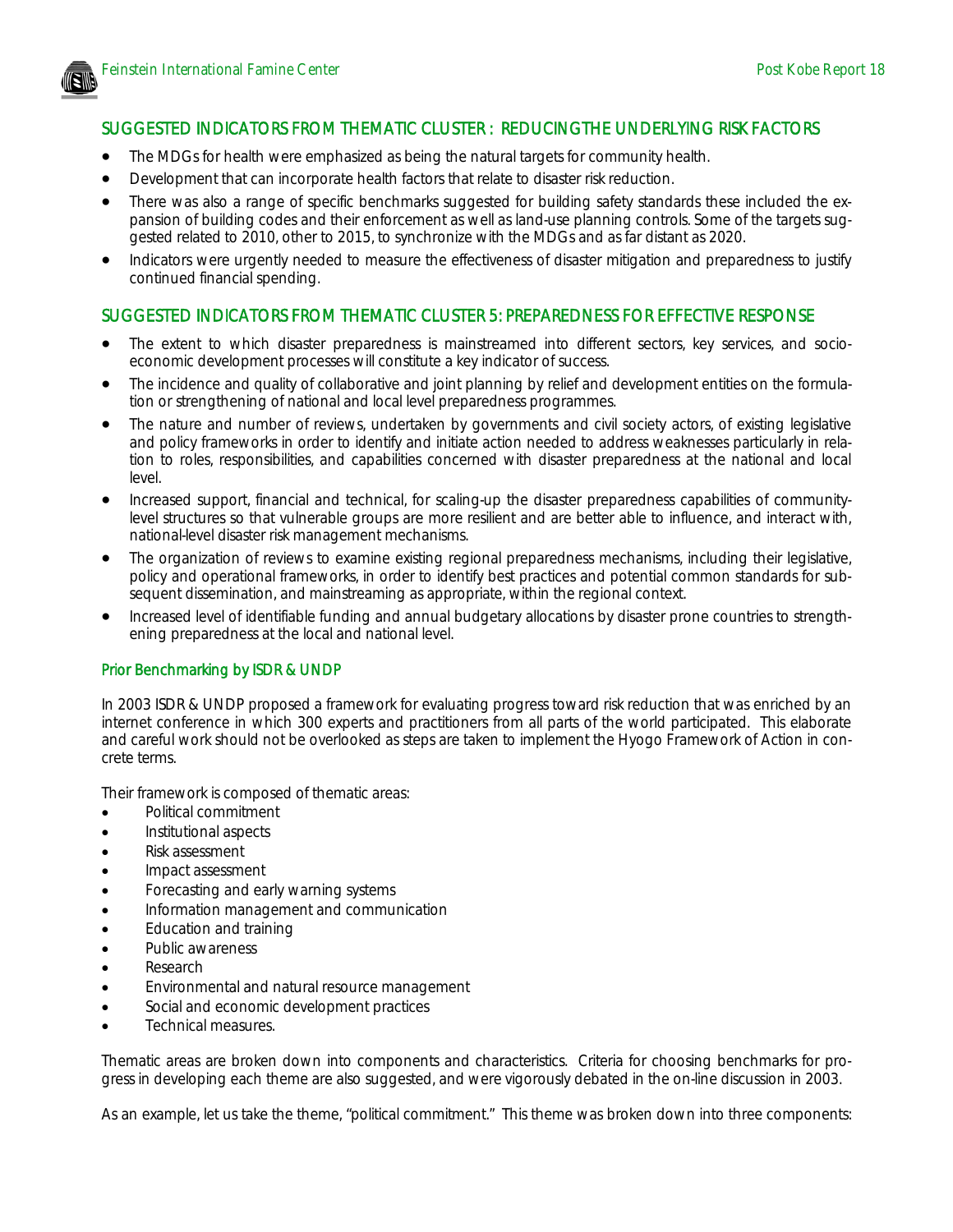

#### SUGGESTED INDICATORS FROM THEMATIC CLUSTER : REDUCINGTHE UNDERLYING RISK FACTORS

- The MDGs for health were emphasized as being the natural targets for community health.
- Development that can incorporate health factors that relate to disaster risk reduction.
- There was also a range of specific benchmarks suggested for building safety standards these included the expansion of building codes and their enforcement as well as land-use planning controls. Some of the targets suggested related to 2010, other to 2015, to synchronize with the MDGs and as far distant as 2020.
- Indicators were urgently needed to measure the effectiveness of disaster mitigation and preparedness to justify continued financial spending.

#### SUGGESTED INDICATORS FROM THEMATIC CLUSTER 5: PREPAREDNESS FOR EFFECTIVE RESPONSE

- The extent to which disaster preparedness is mainstreamed into different sectors, key services, and socioeconomic development processes will constitute a key indicator of success.
- The incidence and quality of collaborative and joint planning by relief and development entities on the formulation or strengthening of national and local level preparedness programmes.
- The nature and number of reviews, undertaken by governments and civil society actors, of existing legislative and policy frameworks in order to identify and initiate action needed to address weaknesses particularly in relation to roles, responsibilities, and capabilities concerned with disaster preparedness at the national and local level.
- Increased support, financial and technical, for scaling-up the disaster preparedness capabilities of communitylevel structures so that vulnerable groups are more resilient and are better able to influence, and interact with, national-level disaster risk management mechanisms.
- The organization of reviews to examine existing regional preparedness mechanisms, including their legislative, policy and operational frameworks, in order to identify best practices and potential common standards for subsequent dissemination, and mainstreaming as appropriate, within the regional context.
- Increased level of identifiable funding and annual budgetary allocations by disaster prone countries to strengthening preparedness at the local and national level.

#### Prior Benchmarking by ISDR & UNDP

In 2003 ISDR & UNDP proposed a framework for evaluating progress toward risk reduction that was enriched by an internet conference in which 300 experts and practitioners from all parts of the world participated. This elaborate and careful work should not be overlooked as steps are taken to implement the Hyogo Framework of Action in concrete terms.

Their framework is composed of thematic areas:

- Political commitment
- Institutional aspects
- Risk assessment
- Impact assessment
- Forecasting and early warning systems
- Information management and communication
- Education and training
- Public awareness
- Research
- Environmental and natural resource management
- Social and economic development practices
- Technical measures.

Thematic areas are broken down into components and characteristics. Criteria for choosing benchmarks for progress in developing each theme are also suggested, and were vigorously debated in the on-line discussion in 2003.

As an example, let us take the theme, "political commitment." This theme was broken down into three components: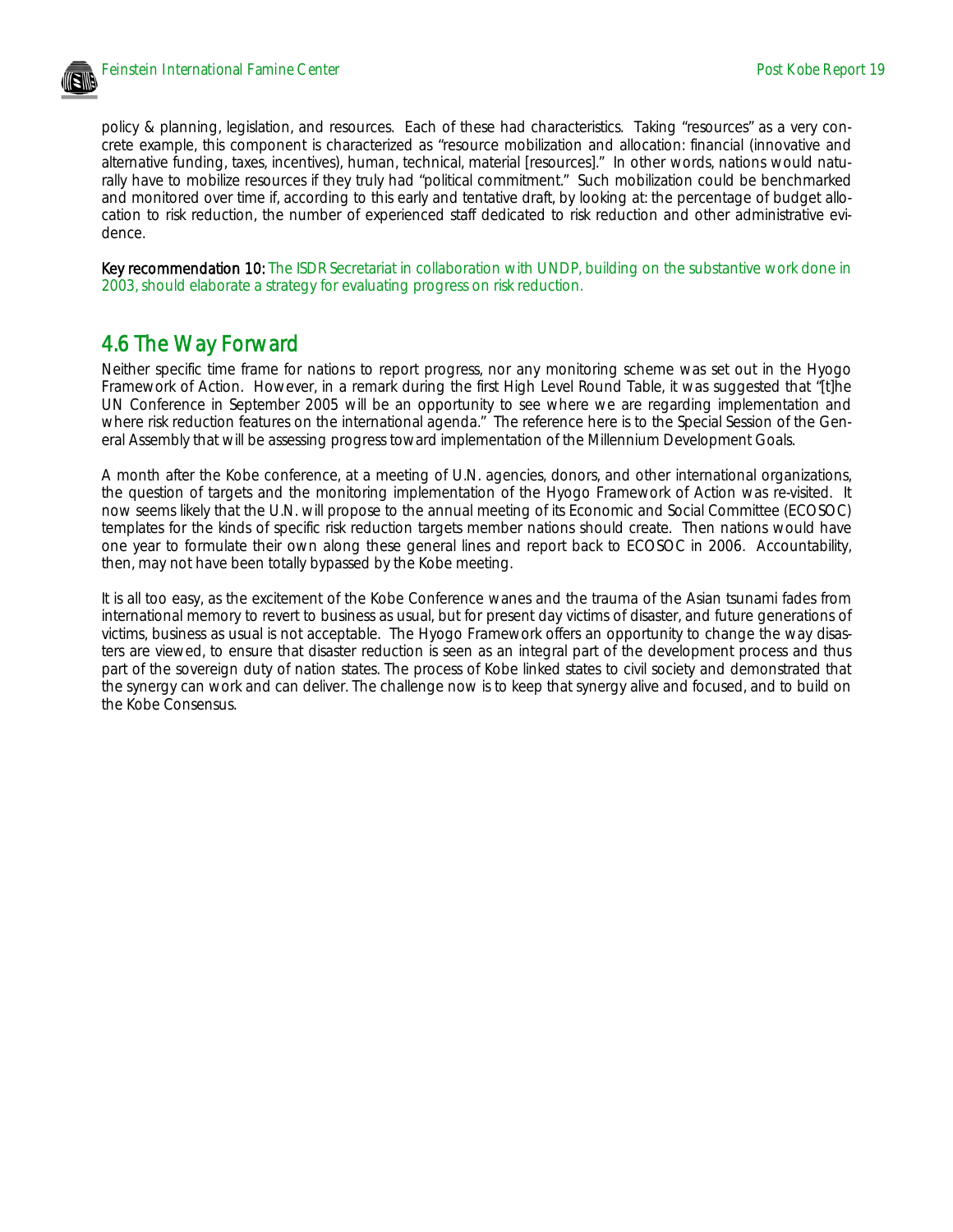

policy & planning, legislation, and resources. Each of these had characteristics. Taking "resources" as a very concrete example, this component is characterized as "resource mobilization and allocation: financial (innovative and alternative funding, taxes, incentives), human, technical, material [resources]." In other words, nations would naturally have to mobilize resources if they truly had "political commitment." Such mobilization could be benchmarked and monitored over time if, according to this early and tentative draft, by looking at: the percentage of budget allocation to risk reduction, the number of experienced staff dedicated to risk reduction and other administrative evidence.

**Key recommendation 10:** The ISDR Secretariat in collaboration with UNDP, building on the substantive work done in 2003, should elaborate a strategy for evaluating progress on risk reduction.

### 4.6 The Way Forward

Neither specific time frame for nations to report progress, nor any monitoring scheme was set out in the Hyogo Framework of Action. However, in a remark during the first High Level Round Table, it was suggested that "[t]he UN Conference in September 2005 will be an opportunity to see where we are regarding implementation and where risk reduction features on the international agenda." The reference here is to the Special Session of the General Assembly that will be assessing progress toward implementation of the Millennium Development Goals.

A month after the Kobe conference, at a meeting of U.N. agencies, donors, and other international organizations, the question of targets and the monitoring implementation of the Hyogo Framework of Action was re-visited. It now seems likely that the U.N. will propose to the annual meeting of its Economic and Social Committee (ECOSOC) templates for the kinds of specific risk reduction targets member nations should create. Then nations would have one year to formulate their own along these general lines and report back to ECOSOC in 2006. Accountability, then, may not have been totally bypassed by the Kobe meeting.

It is all too easy, as the excitement of the Kobe Conference wanes and the trauma of the Asian tsunami fades from international memory to revert to business as usual, but for present day victims of disaster, and future generations of victims, business as usual is not acceptable. The Hyogo Framework offers an opportunity to change the way disasters are viewed, to ensure that disaster reduction is seen as an integral part of the development process and thus part of the sovereign duty of nation states. The process of Kobe linked states to civil society and demonstrated that the synergy can work and can deliver. The challenge now is to keep that synergy alive and focused, and to build on the Kobe Consensus.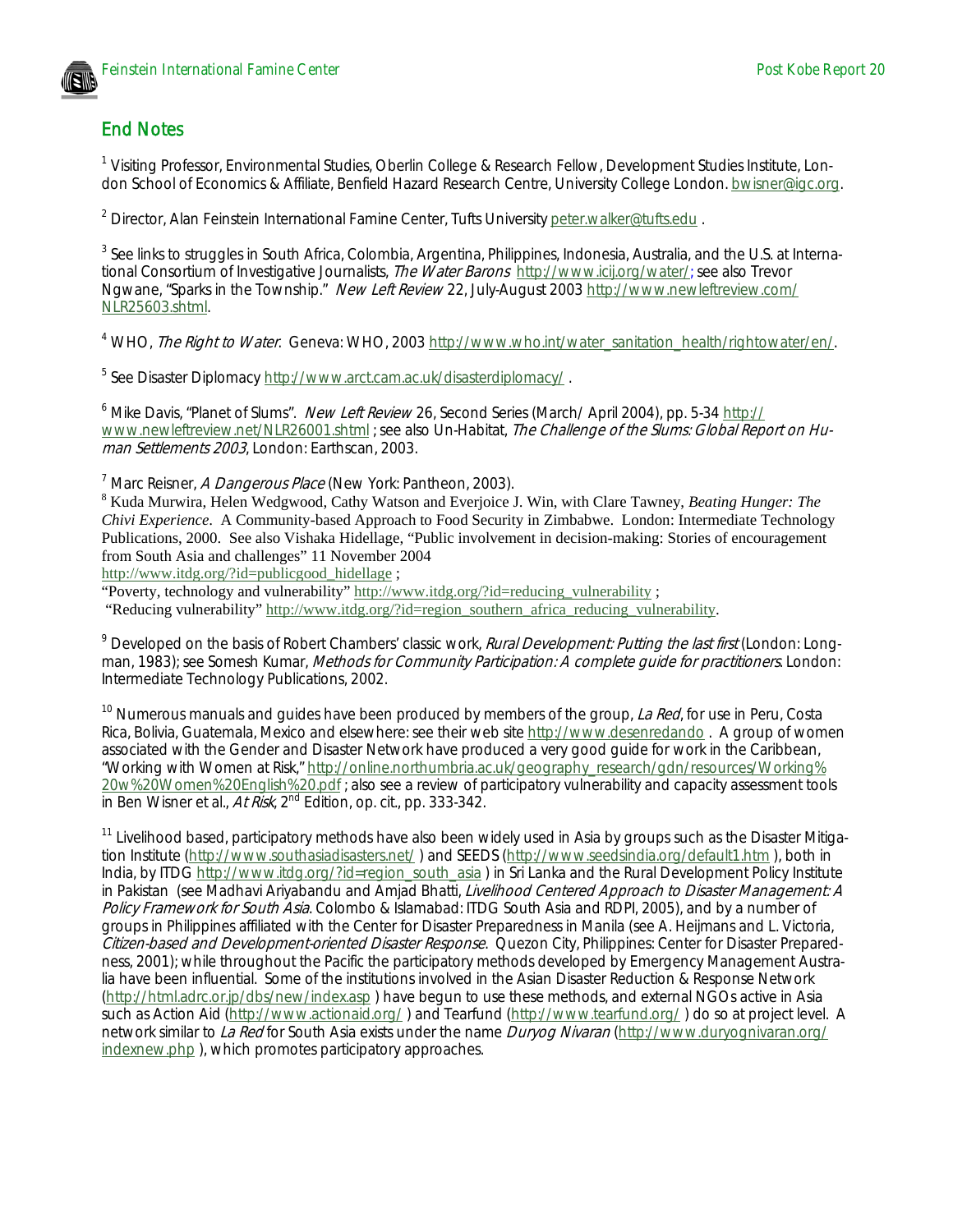

### End Notes

<sup>1</sup> Visiting Professor, Environmental Studies, Oberlin College & Research Fellow, Development Studies Institute, London School of Economics & Affiliate, Benfield Hazard Research Centre, University College London. bwisner@igc.org.

<sup>2</sup> Director, Alan Feinstein International Famine Center, Tufts University peter.walker@tufts.edu.

<sup>3</sup> See links to struggles in South Africa, Colombia, Argentina, Philippines, Indonesia, Australia, and the U.S. at International Consortium of Investigative Journalists, The Water Barons http://www.icij.org/water/; see also Trevor Ngwane, "Sparks in the Township." New Left Review 22, July-August 2003 http://www.newleftreview.com/ NLR25603.shtml.

<sup>4</sup> WHO, The Right to Water. Geneva: WHO, 2003 http://www.who.int/water\_sanitation\_health/rightowater/en/.

<sup>5</sup> See Disaster Diplomacy http://www.arct.cam.ac.uk/disasterdiplomacy/.

<sup>6</sup> Mike Davis, "Planet of Slums". *New Left Review* 26, Second Series (March/ April 2004), pp. 5-34 http:// www.newleftreview.net/NLR26001.shtml; see also Un-Habitat, The Challenge of the Slums: Global Report on Human Settlements 2003, London: Earthscan, 2003.

<sup>7</sup> Marc Reisner, *A Dangerous Place* (New York: Pantheon, 2003).<br><sup>8</sup> Kyde Murwire, Helen Wedsweed, Cethy Wetsen and Evericies 1

 Kuda Murwira, Helen Wedgwood, Cathy Watson and Everjoice J. Win, with Clare Tawney, *Beating Hunger: The Chivi Experience*. A Community-based Approach to Food Security in Zimbabwe. London: Intermediate Technology Publications, 2000. See also Vishaka Hidellage, "Public involvement in decision-making: Stories of encouragement from South Asia and challenges" 11 November 2004

http://www.itdg.org/?id=publicgood\_hidellage ;

"Poverty, technology and vulnerability" http://www.itdg.org/?id=reducing\_vulnerability ;

"Reducing vulnerability" http://www.itdg.org/?id=region\_southern\_africa\_reducing\_vulnerability.

<sup>9</sup> Developed on the basis of Robert Chambers' classic work, *Rural Development: Putting the last first* (London: Longman, 1983); see Somesh Kumar, *Methods for Community Participation: A complete quide for practitioners*. London: Intermediate Technology Publications, 2002.

<sup>10</sup> Numerous manuals and quides have been produced by members of the group, *La Red*, for use in Peru, Costa Rica, Bolivia, Guatemala, Mexico and elsewhere: see their web site http://www.desenredando . A group of women associated with the Gender and Disaster Network have produced a very good guide for work in the Caribbean, "Working with Women at Risk," http://online.northumbria.ac.uk/geography\_research/gdn/resources/Working% 20w%20Women%20English%20.pdf ; also see a review of participatory vulnerability and capacity assessment tools in Ben Wisner et al., At Risk, 2<sup>nd</sup> Edition, op. cit., pp. 333-342.

<sup>11</sup> Livelihood based, participatory methods have also been widely used in Asia by groups such as the Disaster Mitigation Institute (http://www.southasiadisasters.net/) and SEEDS (http://www.seedsindia.org/default1.htm), both in India, by ITDG http://www.itdg.org/?id=region\_south\_asia ) in Sri Lanka and the Rural Development Policy Institute in Pakistan (see Madhavi Ariyabandu and Amiad Bhatti, *Livelihood Centered Approach to Disaster Management: A* Policy Framework for South Asia. Colombo & Islamabad: ITDG South Asia and RDPI, 2005), and by a number of groups in Philippines affiliated with the Center for Disaster Preparedness in Manila (see A. Heijmans and L. Victoria, Citizen-based and Development-oriented Disaster Response. Quezon City, Philippines: Center for Disaster Preparedness, 2001); while throughout the Pacific the participatory methods developed by Emergency Management Australia have been influential. Some of the institutions involved in the Asian Disaster Reduction & Response Network (http://html.adrc.or.jp/dbs/new/index.asp ) have begun to use these methods, and external NGOs active in Asia such as Action Aid (http://www.actionaid.org/ ) and Tearfund (http://www.tearfund.org/ ) do so at project level. A network similar to La Red for South Asia exists under the name *Duryog Nivaran* (http://www.duryognivaran.org/ indexnew.php ), which promotes participatory approaches.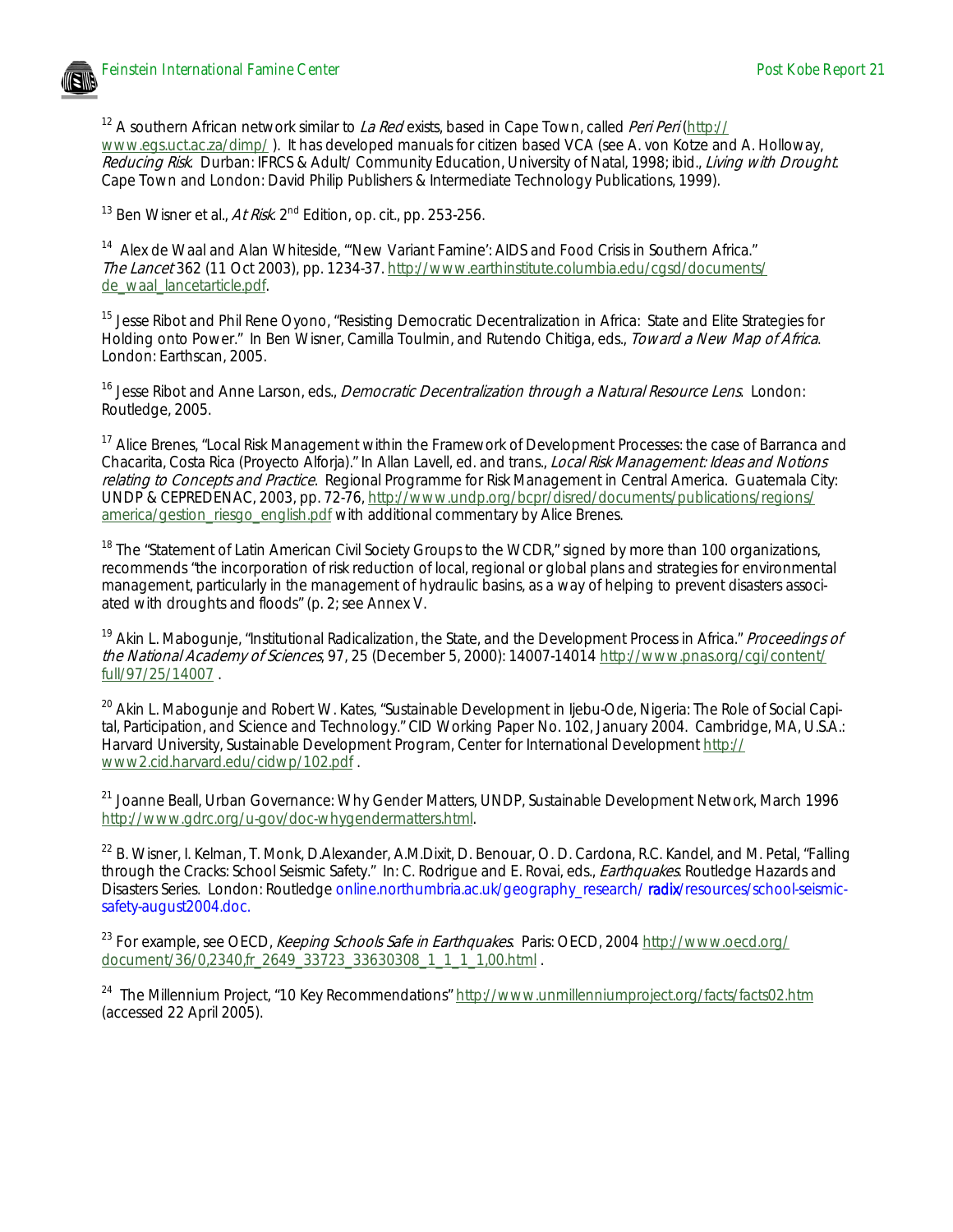

<sup>12</sup> A southern African network similar to *La Red* exists, based in Cape Town, called *Peri Peri* (http:// www.egs.uct.ac.za/dimp/ ). It has developed manuals for citizen based VCA (see A. von Kotze and A. Holloway, Reducing Risk. Durban: IFRCS & Adult/ Community Education, University of Natal, 1998; ibid., Living with Drought. Cape Town and London: David Philip Publishers & Intermediate Technology Publications, 1999).

<sup>13</sup> Ben Wisner et al.,  $At Risk$ .  $2<sup>nd</sup>$  Edition, op. cit., pp. 253-256.

<sup>14</sup> Alex de Waal and Alan Whiteside, "'New Variant Famine': AIDS and Food Crisis in Southern Africa." The Lancet 362 (11 Oct 2003), pp. 1234-37. http://www.earthinstitute.columbia.edu/cgsd/documents/ de\_waal\_lancetarticle.pdf.

<sup>15</sup> Jesse Ribot and Phil Rene Oyono, "Resisting Democratic Decentralization in Africa: State and Elite Strategies for Holding onto Power." In Ben Wisner, Camilla Toulmin, and Rutendo Chitiga, eds., *Toward a New Map of Africa.* London: Earthscan, 2005.

<sup>16</sup> Jesse Ribot and Anne Larson, eds., *Democratic Decentralization through a Natural Resource Lens.* London: Routledge, 2005.

<sup>17</sup> Alice Brenes, "Local Risk Management within the Framework of Development Processes: the case of Barranca and Chacarita, Costa Rica (Proyecto Alforja)." In Allan Lavell, ed. and trans., Local Risk Management: Ideas and Notions relating to Concepts and Practice. Regional Programme for Risk Management in Central America. Guatemala City: UNDP & CEPREDENAC, 2003, pp. 72-76, http://www.undp.org/bcpr/disred/documents/publications/regions/ america/gestion\_riesgo\_english.pdf with additional commentary by Alice Brenes.

<sup>18</sup> The "Statement of Latin American Civil Society Groups to the WCDR," signed by more than 100 organizations, recommends "the incorporation of risk reduction of local, regional or global plans and strategies for environmental management, particularly in the management of hydraulic basins, as a way of helping to prevent disasters associated with droughts and floods" (p. 2; see Annex V.

<sup>19</sup> Akin L. Mabogunje, "Institutional Radicalization, the State, and the Development Process in Africa." *Proceedings of* the National Academy of Sciences, 97, 25 (December 5, 2000): 14007-14014 http://www.pnas.org/cgi/content/ full/97/25/14007 .

<sup>20</sup> Akin L. Mabogunje and Robert W. Kates, "Sustainable Development in Ijebu-Ode, Nigeria: The Role of Social Capital, Participation, and Science and Technology." CID Working Paper No. 102, January 2004. Cambridge, MA, U.S.A.: Harvard University, Sustainable Development Program, Center for International Development http:// www2.cid.harvard.edu/cidwp/102.pdf .

<sup>21</sup> Joanne Beall, Urban Governance: Why Gender Matters, UNDP, Sustainable Development Network, March 1996 http://www.gdrc.org/u-gov/doc-whygendermatters.html.

<sup>22</sup> B. Wisner, I. Kelman, T. Monk, D.Alexander, A.M.Dixit, D. Benouar, O. D. Cardona, R.C. Kandel, and M. Petal, "Falling through the Cracks: School Seismic Safety." In: C. Rodrigue and E. Rovai, eds., *Earthquakes*. Routledge Hazards and Disasters Series. London: Routledge online.northumbria.ac.uk/geography\_research/radix/resources/school-seismicsafety-august2004.doc.

<sup>23</sup> For example, see OECD, Keeping Schools Safe in Earthquakes. Paris: OECD, 2004 http://www.oecd.org/ document/36/0,2340,fr\_2649<sup>-</sup>33723\_33630308\_1\_1\_1,00.html .

<sup>24</sup> The Millennium Project, "10 Key Recommendations" http://www.unmillenniumproject.org/facts/facts02.htm (accessed 22 April 2005).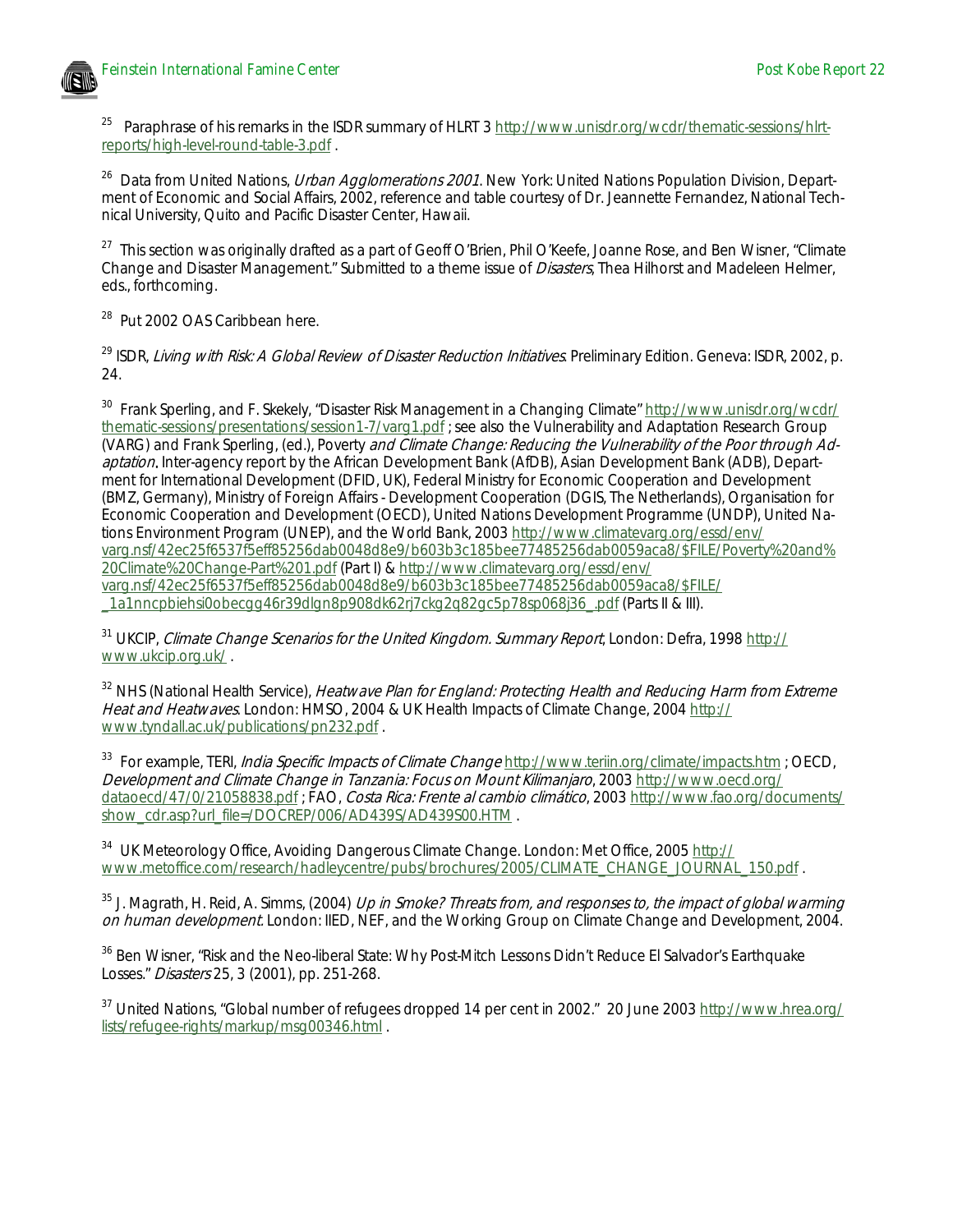

<sup>25</sup> Paraphrase of his remarks in the ISDR summary of HLRT 3 http://www.unisdr.org/wcdr/thematic-sessions/hlrtreports/high-level-round-table-3.pdf .

<sup>26</sup> Data from United Nations, Urban Agglomerations 2001. New York: United Nations Population Division, Department of Economic and Social Affairs, 2002, reference and table courtesy of Dr. Jeannette Fernandez, National Technical University, Quito and Pacific Disaster Center, Hawaii.

<sup>27</sup> This section was originally drafted as a part of Geoff O'Brien, Phil O'Keefe, Joanne Rose, and Ben Wisner, "Climate Change and Disaster Management." Submitted to a theme issue of *Disasters*, Thea Hilhorst and Madeleen Helmer, eds., forthcoming.

<sup>28</sup> Put 2002 OAS Caribbean here.

<sup>29</sup> ISDR, *Living with Risk: A Global Review of Disaster Reduction Initiatives*. Preliminary Edition. Geneva: ISDR, 2002, p. 24.

<sup>30</sup> Frank Sperling, and F. Skekely, "Disaster Risk Management in a Changing Climate" http://www.unisdr.org/wcdr/ thematic-sessions/presentations/session1-7/varg1.pdf ; see also the Vulnerability and Adaptation Research Group (VARG) and Frank Sperling, (ed.), Poverty and Climate Change: Reducing the Vulnerability of the Poor through Adaptation. Inter-agency report by the African Development Bank (AfDB), Asian Development Bank (ADB), Department for International Development (DFID, UK), Federal Ministry for Economic Cooperation and Development (BMZ, Germany), Ministry of Foreign Affairs - Development Cooperation (DGIS, The Netherlands), Organisation for Economic Cooperation and Development (OECD), United Nations Development Programme (UNDP), United Nations Environment Program (UNEP), and the World Bank, 2003 http://www.climatevarg.org/essd/env/ varg.nsf/42ec25f6537f5eff85256dab0048d8e9/b603b3c185bee77485256dab0059aca8/\$FILE/Poverty%20and% 20Climate%20Change-Part%201.pdf (Part I) & http://www.climatevarg.org/essd/env/ varg.nsf/42ec25f6537f5eff85256dab0048d8e9/b603b3c185bee77485256dab0059aca8/\$FILE/ \_1a1nncpbiehsi0obecgg46r39dlgn8p908dk62rj7ckg2q82gc5p78sp068j36\_.pdf (Parts II & III).

<sup>31</sup> UKCIP, *Climate Change Scenarios for the United Kingdom. Summary Report*, London: Defra, 1998 http:// www.ukcip.org.uk/ .

<sup>32</sup> NHS (National Health Service), *Heatwave Plan for England: Protecting Health and Reducing Harm from Extreme* Heat and Heatwaves. London: HMSO, 2004 & UK Health Impacts of Climate Change, 2004 http:// www.tyndall.ac.uk/publications/pn232.pdf .

<sup>33</sup> For example, TERI, *India Specific Impacts of Climate Change* http://www.teriin.org/climate/impacts.htm ; OECD, Development and Climate Change in Tanzania: Focus on Mount Kilimanjaro, 2003 http://www.oecd.org/ dataoecd/47/0/21058838.pdf ; FAO, Costa Rica: Frente al cambio climático, 2003 http://www.fao.org/documents/ show\_cdr.asp?url\_file=/DOCREP/006/AD439S/AD439S00.HTM .

<sup>34</sup> UK Meteorology Office, Avoiding Dangerous Climate Change. London: Met Office, 2005 http:// www.metoffice.com/research/hadleycentre/pubs/brochures/2005/CLIMATE\_CHANGE\_JOURNAL\_150.pdf .

<sup>35</sup> J. Magrath, H. Reid, A. Simms, (2004) *Up in Smoke? Threats from, and responses to, the impact of global warming* on human development. London: IIED, NEF, and the Working Group on Climate Change and Development, 2004.

<sup>36</sup> Ben Wisner, "Risk and the Neo-liberal State: Why Post-Mitch Lessons Didn't Reduce El Salvador's Earthquake Losses." Disasters 25, 3 (2001), pp. 251-268.

<sup>37</sup> United Nations, "Global number of refugees dropped 14 per cent in 2002." 20 June 2003 http://www.hrea.org/ lists/refugee-rights/markup/msg00346.html .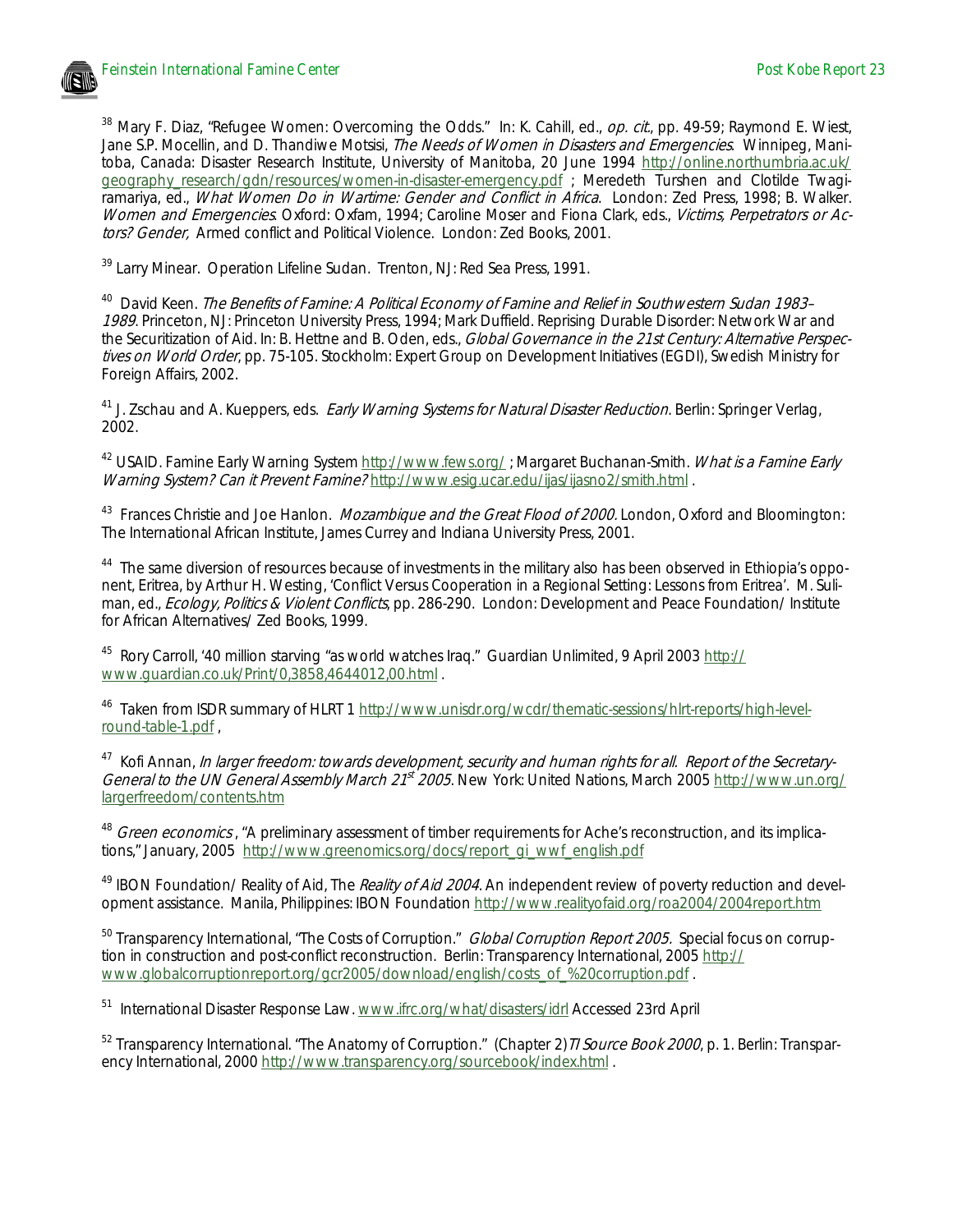

 $38$  Mary F. Diaz, "Refugee Women: Overcoming the Odds." In: K. Cahill, ed., *op. cit.*, pp. 49-59; Raymond E. Wiest, Jane S.P. Mocellin, and D. Thandiwe Motsisi, *The Needs of Women in Disasters and Emergencies*. Winnipeg, Manitoba, Canada: Disaster Research Institute, University of Manitoba, 20 June 1994 http://online.northumbria.ac.uk/ geography\_research/gdn/resources/women-in-disaster-emergency.pdf ; Meredeth Turshen and Clotilde Twagiramariya, ed., *What Women Do in Wartime: Gender and Conflict in Africa.* London: Zed Press, 1998; B. Walker. Women and Emergencies. Oxford: Oxfam, 1994; Caroline Moser and Fiona Clark, eds., Victims, Perpetrators or Actors? Gender, Armed conflict and Political Violence. London: Zed Books, 2001.

<sup>39</sup> Larry Minear. Operation Lifeline Sudan. Trenton, NJ: Red Sea Press, 1991.

<sup>40</sup> David Keen. *The Benefits of Famine: A Political Economy of Famine and Relief in Southwestern Sudan 1983–* 1989. Princeton, NJ: Princeton University Press, 1994; Mark Duffield. Reprising Durable Disorder: Network War and the Securitization of Aid. In: B. Hettne and B. Oden, eds., Global Governance in the 21st Century: Alternative Perspectives on World Order, pp. 75-105. Stockholm: Expert Group on Development Initiatives (EGDI), Swedish Ministry for Foreign Affairs, 2002.

<sup>41</sup> J. Zschau and A. Kueppers, eds. *Early Warning Systems for Natural Disaster Reduction*. Berlin: Springer Verlag, 2002.

<sup>42</sup> USAID. Famine Early Warning System http://www.fews.org/; Margaret Buchanan-Smith. What is a Famine Early Warning System? Can it Prevent Famine?http://www.esig.ucar.edu/ijas/ijasno2/smith.html.

<sup>43</sup> Frances Christie and Joe Hanlon. *Mozambique and the Great Flood of 2000*. London, Oxford and Bloomington: The International African Institute, James Currey and Indiana University Press, 2001.

44 The same diversion of resources because of investments in the military also has been observed in Ethiopia's opponent, Eritrea, by Arthur H. Westing, 'Conflict Versus Cooperation in a Regional Setting: Lessons from Eritrea'. M. Suliman, ed., Ecology, Politics & Violent Conflicts, pp. 286-290. London: Development and Peace Foundation/ Institute for African Alternatives/ Zed Books, 1999.

<sup>45</sup> Rory Carroll, '40 million starving "as world watches Iraq." Guardian Unlimited, 9 April 2003 http:// www.guardian.co.uk/Print/0,3858,4644012,00.html .

46 Taken from ISDR summary of HLRT 1 http://www.unisdr.org/wcdr/thematic-sessions/hlrt-reports/high-levelround-table-1.pdf ,

<sup>47</sup> Kofi Annan, In larger freedom: towards development, security and human rights for all. Report of the Secretary-General to the UN General Assembly March 21<sup>st</sup> 2005. New York: United Nations, March 2005 http://www.un.org/ largerfreedom/contents.htm

<sup>48</sup> Green economics, "A preliminary assessment of timber requirements for Ache's reconstruction, and its implications," January, 2005 http://www.greenomics.org/docs/report\_gi\_wwf\_english.pdf

<sup>49</sup> IBON Foundation/ Reality of Aid, The *Reality of Aid 2004*. An independent review of poverty reduction and development assistance. Manila, Philippines: IBON Foundation http://www.realityofaid.org/roa2004/2004report.htm

<sup>50</sup> Transparency International, "The Costs of Corruption." Global Corruption Report 2005. Special focus on corruption in construction and post-conflict reconstruction. Berlin: Transparency International, 2005 http:// www.globalcorruptionreport.org/gcr2005/download/english/costs\_of\_%20corruption.pdf .

51 International Disaster Response Law. www.ifrc.org/what/disasters/idrl Accessed 23rd April

<sup>52</sup> Transparency International. "The Anatomy of Corruption." (Chapter 2) TI Source Book 2000, p. 1. Berlin: Transparency International, 2000 http://www.transparency.org/sourcebook/index.html .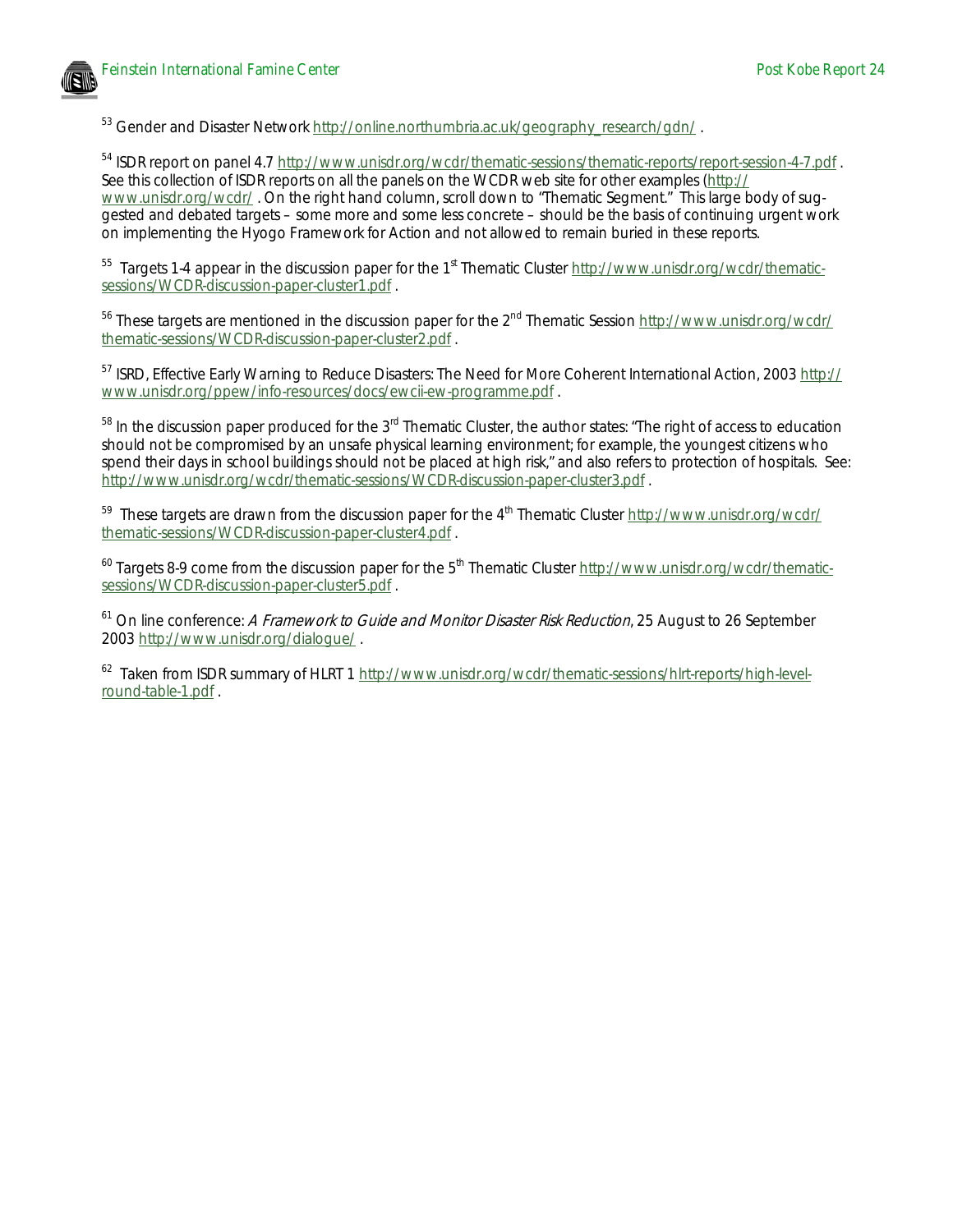

<sup>53</sup> Gender and Disaster Network http://online.northumbria.ac.uk/geography\_research/gdn/ .

<sup>54</sup> ISDR report on panel 4.7 http://www.unisdr.org/wcdr/thematic-sessions/thematic-reports/report-session-4-7.pdf. See this collection of ISDR reports on all the panels on the WCDR web site for other examples (http:// www.unisdr.org/wcdr/. On the right hand column, scroll down to "Thematic Segment." This large body of suggested and debated targets – some more and some less concrete – should be the basis of continuing urgent work on implementing the Hyogo Framework for Action and not allowed to remain buried in these reports.

<sup>55</sup> Targets 1-4 appear in the discussion paper for the 1<sup>st</sup> Thematic Cluster http://www.unisdr.org/wcdr/thematicsessions/WCDR-discussion-paper-cluster1.pdf .

<sup>56</sup> These targets are mentioned in the discussion paper for the 2<sup>nd</sup> Thematic Session http://www.unisdr.org/wcdr/ thematic-sessions/WCDR-discussion-paper-cluster2.pdf .

57 ISRD, Effective Early Warning to Reduce Disasters: The Need for More Coherent International Action, 2003 http:// www.unisdr.org/ppew/info-resources/docs/ewcii-ew-programme.pdf .

58 In the discussion paper produced for the 3<sup>rd</sup> Thematic Cluster, the author states: "The right of access to education should not be compromised by an unsafe physical learning environment; for example, the youngest citizens who spend their days in school buildings should not be placed at high risk," and also refers to protection of hospitals. See: http://www.unisdr.org/wcdr/thematic-sessions/WCDR-discussion-paper-cluster3.pdf .

 $59$  These targets are drawn from the discussion paper for the 4<sup>th</sup> Thematic Cluster http://www.unisdr.org/wcdr/ thematic-sessions/WCDR-discussion-paper-cluster4.pdf .

<sup>60</sup> Targets 8-9 come from the discussion paper for the 5<sup>th</sup> Thematic Cluster http://www.unisdr.org/wcdr/thematicsessions/WCDR-discussion-paper-cluster5.pdf .

<sup>61</sup> On line conference: *A Framework to Guide and Monitor Disaster Risk Reduction*, 25 August to 26 September 2003 http://www.unisdr.org/dialogue/ .

62 Taken from ISDR summary of HLRT 1 http://www.unisdr.org/wcdr/thematic-sessions/hlrt-reports/high-levelround-table-1.pdf .